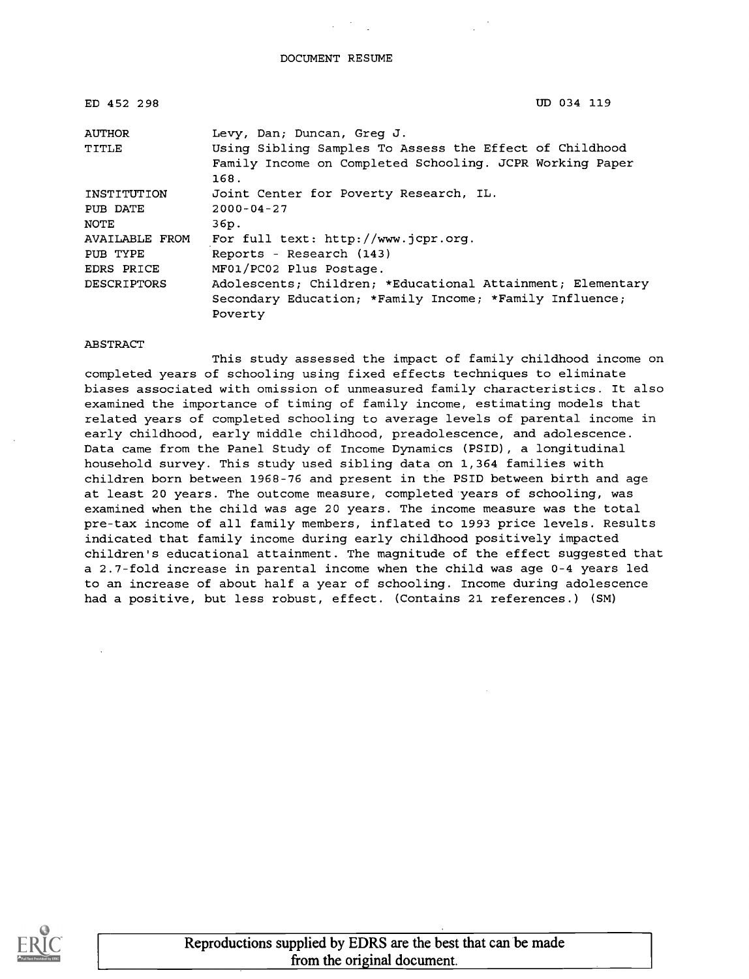DOCUMENT RESUME

| ED 452 298                               | UD 034 119                                                                                                                                                |
|------------------------------------------|-----------------------------------------------------------------------------------------------------------------------------------------------------------|
| AUTHOR<br>TITLE                          | Levy, Dan; Duncan, Greg J.<br>Using Sibling Samples To Assess the Effect of Childhood<br>Family Income on Completed Schooling. JCPR Working Paper<br>168. |
| INSTITUTION<br>PUB DATE<br><b>NOTE</b>   | Joint Center for Poverty Research, IL.<br>$2000 - 04 - 27$<br>36p.                                                                                        |
| AVAILABLE FROM<br>PUB TYPE<br>EDRS PRICE | For full text: http://www.jcpr.org.<br>Reports - Research (143)<br>MF01/PC02 Plus Postage.                                                                |
| <b>DESCRIPTORS</b>                       | Adolescents; Children; *Educational Attainment; Elementary<br>Secondary Education; *Family Income; *Family Influence;<br>Poverty                          |

#### ABSTRACT

This study assessed the impact of family childhood income on completed years of schooling using fixed effects techniques to eliminate biases associated with omission of unmeasured family characteristics. It also examined the importance of timing of family income, estimating models that related years of completed schooling to average levels of parental income in early childhood, early middle childhood, preadolescence, and adolescence. Data came from the Panel Study of Income Dynamics (PSID), a longitudinal household survey. This study used sibling data on 1,364 families with children born between 1968-76 and present in the PSID between birth and age at least 20 years. The outcome measure, completed years of schooling, was examined when the child was age 20 years. The income measure was the total pre-tax income of all family members, inflated to 1993 price levels. Results indicated that family income during early childhood positively impacted children's educational attainment. The magnitude of the effect suggested that a 2.7-fold increase in parental income when the child was age 0-4 years led to an increase of about half a year of schooling. Income during adolescence had a positive, but less robust, effect. (Contains 21 references.) (SM)

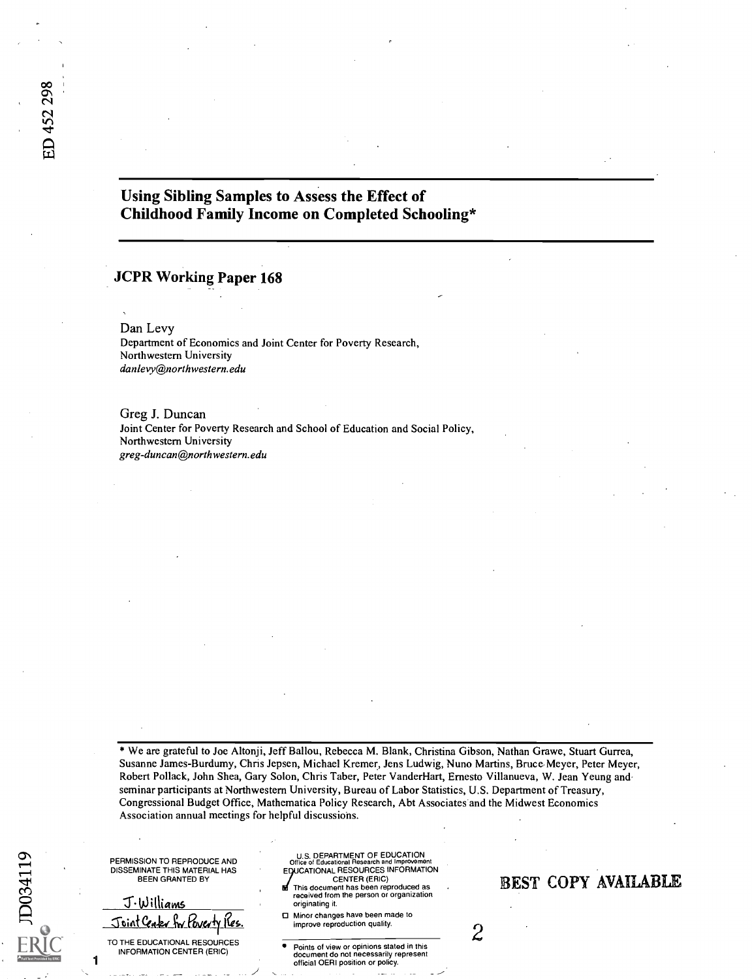## Using Sibling Samples to Assess the Effect of Childhood Family Income on Completed Schooling\*

#### JCPR Working Paper 168

Dan Levy Department of Economics and Joint Center for Poverty Research, Northwestern University danlevy@northwestern.edu

Greg J. Duncan Joint Center for Poverty Research and School of Education and Social Policy, Northwestern University greg-duncan@northwestern.edu

\* We are grateful to Joe Altonji, Jeff Ballou, Rebecca M. Blank, Christina Gibson, Nathan Grawe, Stuart Gurrea, Susanne James-Burdumy, Chris Jepsen, Michael Kremer, Jens Ludwig, Nuno Martins, Bruce Meyer, Peter Meyer, Robert Pollack, John Shea, Gary Solon, Chris Taber, Peter VanderHart, Ernesto Villanueva, W. Jean Yeung and seminar participants at Northwestern University, Bureau of Labor Statistics, U.S. Department of Treasury, Congressional Budget Office, Mathematica Policy Research, Abt Associates and the Midwest Economics Association annual meetings for helpful discussions.

PERMISSION TO REPRODUCE AND DISSEMINATE THIS MATERIAL HAS BEEN GRANTED BY

J·Williams Joint Ceaky by Poverty Ves.

TO THE EDUCATIONAL RESOURCES INFORMATION CENTER (ERIC)

1

JD034119

U.S. DEPARTMENT OF EDUCATION Office of Educational Research and Improvement EQUCATIONAL RESOURCES INFORMATION CENTER (ERIC)

This document has been reproduced as received from the person or organization originating it.

□ Minor changes have been made to improve reproduction quality.

Points of view or opinions stated in this document do not necessarily represent official OERI position or policy.

## BEST COPY AVAILABLE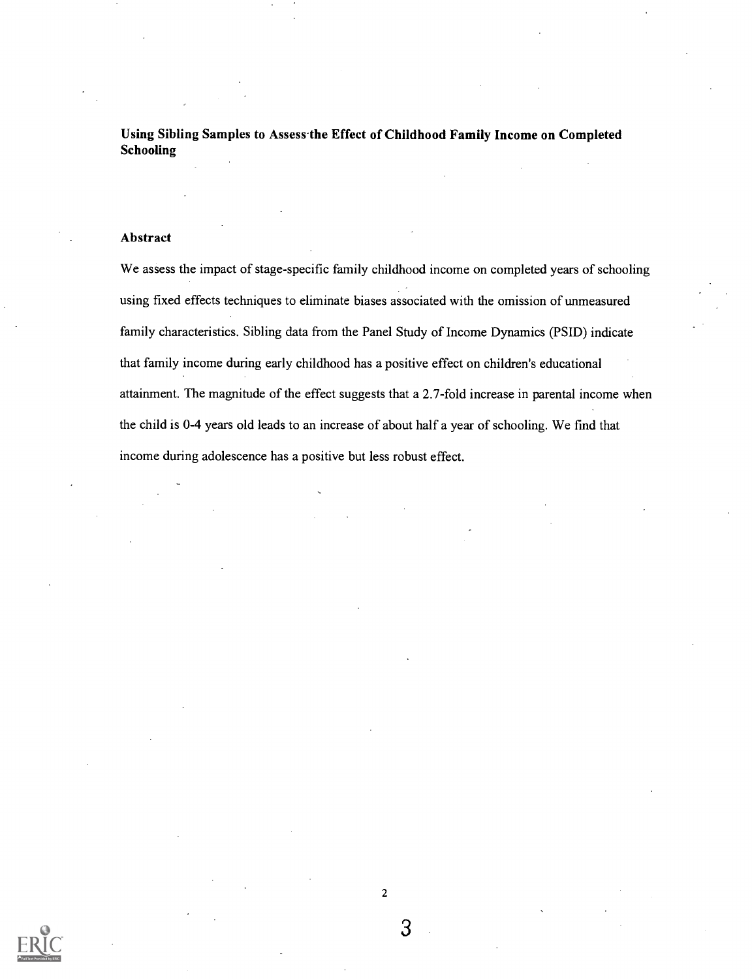Using Sibling Samples to Assess the Effect of Childhood Family Income on Completed Schooling

#### Abstract

We assess the impact of stage-specific family childhood income on completed years of schooling using fixed effects techniques to eliminate biases associated with the omission of unmeasured family characteristics. Sibling data from the Panel Study of Income Dynamics (PSID) indicate that family income during early childhood has a positive effect on children's educational attainment. The magnitude of the effect suggests that a 2.7-fold increase in parental income when the child is 0-4 years old leads to an increase of about half a year of schooling. We fmd that income during adolescence has a positive but less robust effect.

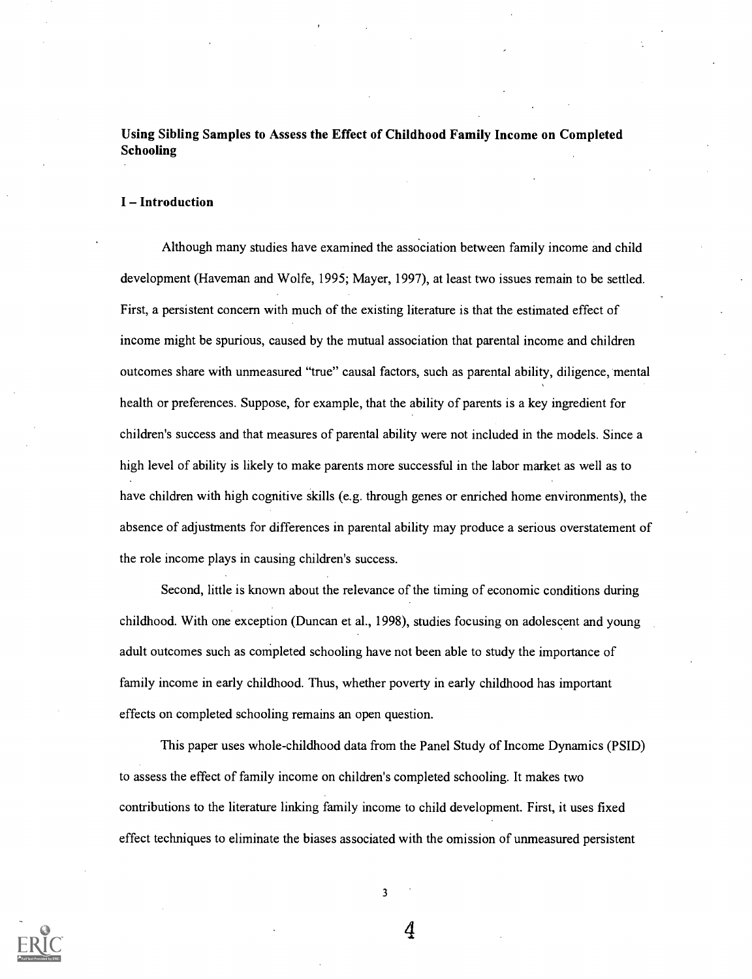Using Sibling Samples to Assess the Effect of Childhood Family Income on Completed Schooling

#### I-Introduction

Although many studies have examined the association between family income and child development (Haveman and Wolfe, 1995; Mayer, 1997), at least two issues remain to be settled. First, a persistent concern with much of the existing literature is that the estimated effect of income might be spurious, caused by the mutual association that parental income and children outcomes share with unmeasured "true" causal factors, such as parental ability, diligence, mental health or preferences. Suppose, for example, that the ability of parents is a key ingredient for children's success and that measures of parental ability were not included in the models. Since a high level of ability is likely to make parents more successful in the labor market as well as to have children with high cognitive skills (e.g. through genes or enriched home environments), the absence of adjustments for differences in parental ability may produce a serious overstatement of the role income plays in causing children's success.

Second, little is known about the relevance of the timing of economic conditions during childhood. With one exception (Duncan et al., 1998), studies focusing on adolescent and young adult outcomes such as completed schooling have not been able to study the importance of family income in early childhood. Thus, whether poverty in early childhood has important effects on completed schooling remains an open question.

This paper uses whole-childhood data from the Panel Study of Income Dynamics (PSID) to assess the effect of family income on children's completed schooling. It makes two contributions to the literature linking family income to child development. First, it uses fixed effect techniques to eliminate the biases associated with the omission of unmeasured persistent



3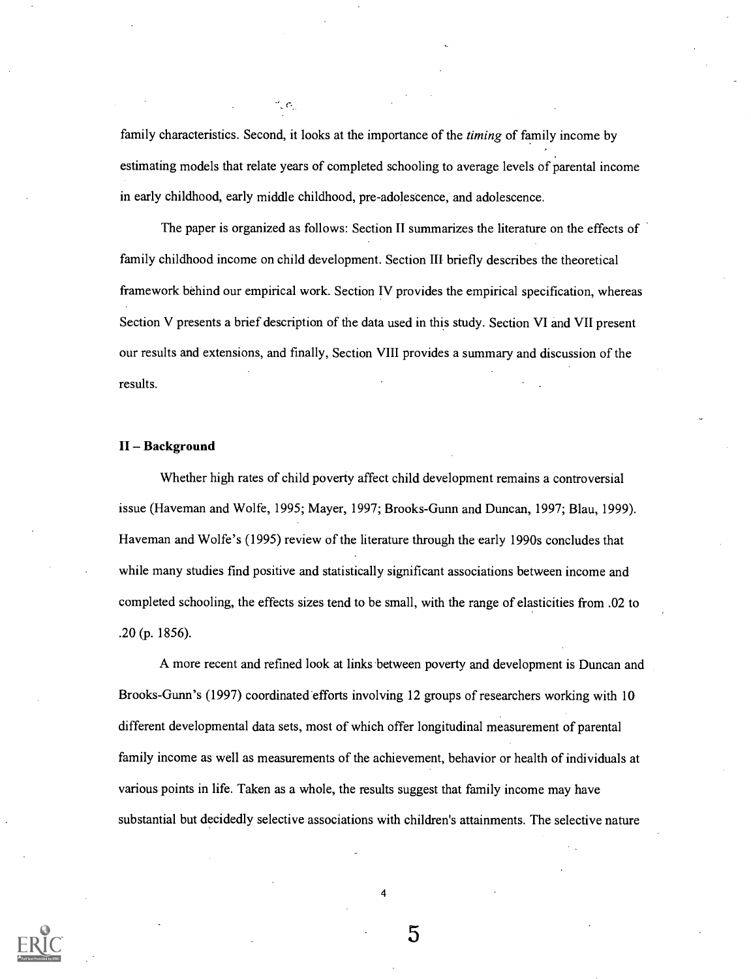family characteristics. Second, it looks at the importance of the *timing* of family income by estimating models that relate years of completed schooling to average levels of parental income in early childhood, early middle childhood, pre-adolescence, and adolescence.

 $\cdot$   $\cdot$ 

The paper is organized as follows: Section II summarizes the literature on the effects of family childhood income on child development. Section III briefly describes the theoretical framework behind our empirical work. Section IV provides the empirical specification, whereas Section V presents a brief description of the data used in this study. Section VI and VII present our results and extensions, and finally, Section VIII provides a summary and discussion of the results.

#### II-Background

Whether high rates of child poverty affect child development remains a controversial issue (Haveman and Wolfe, 1995; Mayer, 1997; Brooks-Gunn and Duncan, 1997; Blau, 1999). Haveman and Wolfe's (1995) review of the literature through the early 1990s concludes that while many studies find positive and statistically significant associations between income and completed schooling, the effects sizes tend to be small, with the range of elasticities from .02 to .20 (p. 1856).

A more recent and refined look at links between poverty and development is Duncan and Brooks-Gunn's (1997) coordinated efforts involving 12 groups of researchers working with 10 different developmental data sets, most of which offer longitudinal measurement of parental family income as well as measurements of the achievement, behavior or health of individuals at various points in life. Taken as a whole, the results suggest that family income may have substantial but decidedly selective associations with children's attainments. The selective nature



5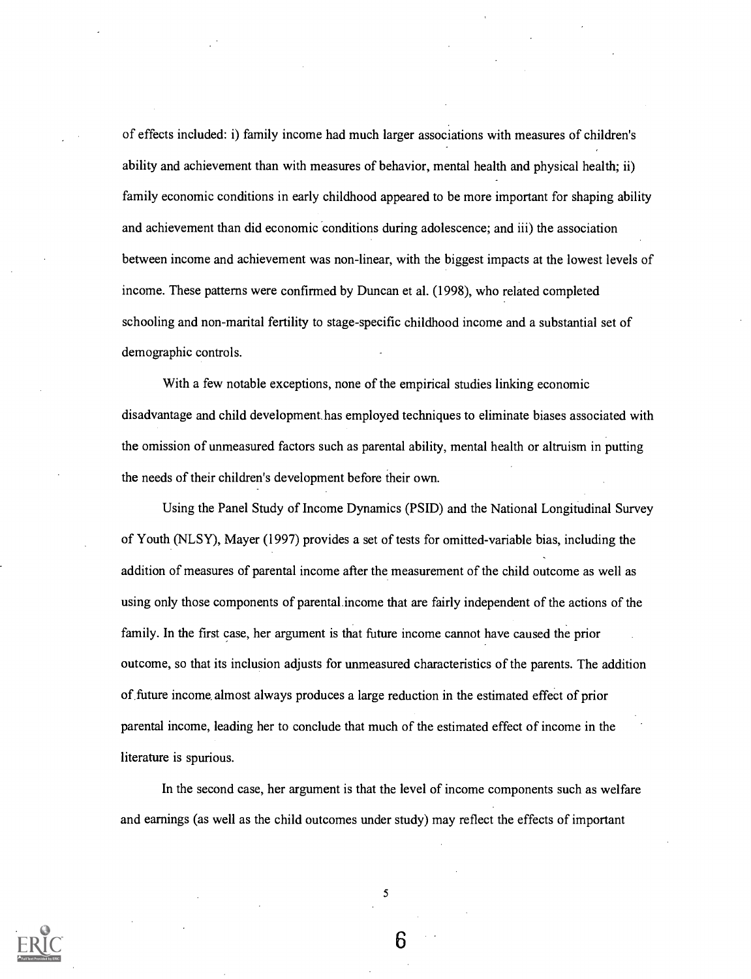of effects included: i) family income had much larger associations with measures of children's ability and achievement than with measures of behavior, mental health and physical health; ii) family economic conditions in early childhood appeared to be more important for shaping ability and achievement than did economic conditions during adolescence; and iii) the association between income and achievement was non-linear, with the biggest impacts at the lowest levels of income. These patterns were confirmed by Duncan et al. (1998), who related completed schooling and non-marital fertility to stage-specific childhood income and a substantial set of demographic controls.

With a few notable exceptions, none of the empirical studies linking economic disadvantage and child development has employed techniques to eliminate biases associated with the omission of unmeasured factors such as parental ability, mental health or altruism in putting the needs of their children's development before their own.

Using the Panel Study of Income Dynamics (PSID) and the National Longitudinal Survey of Youth (NLSY), Mayer (1997) provides a set of tests for omitted-variable bias, including the addition of measures of parental income after the measurement of the child outcome as well as using only those components of parental. income that are fairly independent of the actions of the family. In the first case, her argument is that future income cannot have caused the prior outcome, so that its inclusion adjusts for unmeasured characteristics of the parents. The addition of future income, almost always produces a large reduction in the estimated effect of prior parental income, leading her to conclude that much of the estimated effect of income in the literature is spurious.

In the second case, her argument is that the level of income components such as welfare and earnings (as well as the child outcomes under study) may reflect the effects of important



5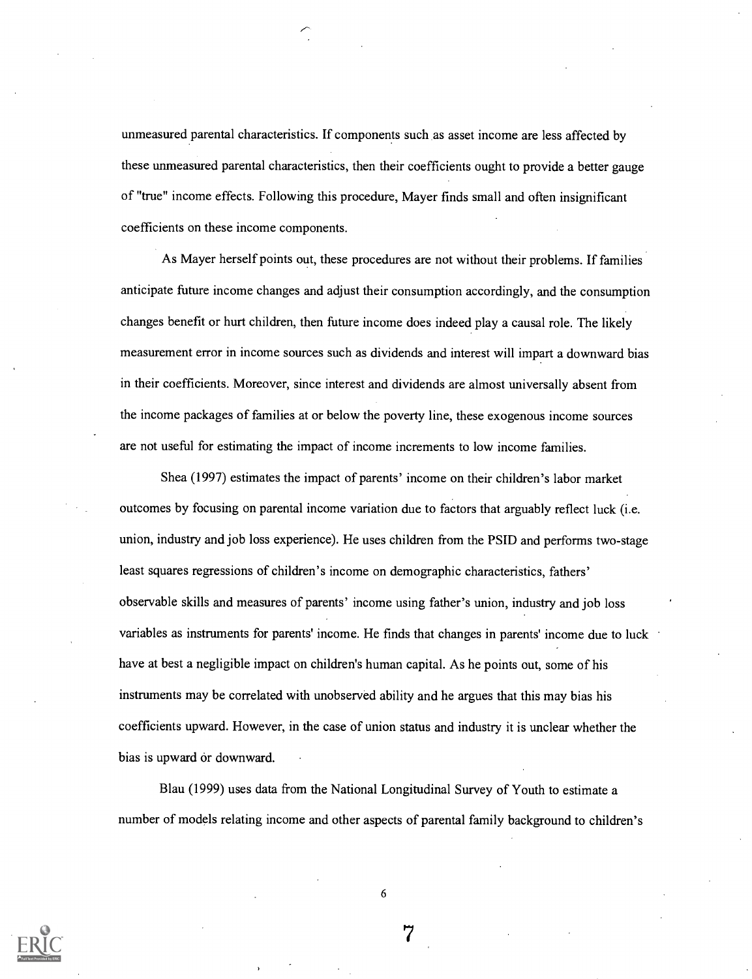unmeasured parental characteristics. If components such as asset income are less affected by these unmeasured parental characteristics, then their coefficients ought to provide a better gauge of "true" income effects. Following this procedure, Mayer finds small and often insignificant coefficients on these income components.

As Mayer herself points out, these procedures are not without their problems. If families anticipate future income changes and adjust their consumption accordingly, and the consumption changes benefit or hurt children, then future income does indeed play a causal role. The likely measurement error in income sources such as dividends and interest will impart a downward bias in their coefficients. Moreover, since interest and dividends are almost universally absent from the income packages of families at or below the poverty line, these exogenous income sources are not useful for estimating the impact of income increments to low income families.

Shea (1997) estimates the impact of parents' income on their children's labor market outcomes by focusing on parental income variation due to factors that arguably reflect luck (i.e. union, industry and job loss experience). He uses children from the PSID and performs two-stage least squares regressions of children's income on demographic characteristics, fathers' observable skills and measures of parents' income using father's union, industry and job loss variables as instruments for parents' income. He finds that changes in parents' income due to luck have at best a negligible impact on children's human capital. As he points out, some of his instruments may be correlated with unobserved ability and he argues that this may bias his coefficients upward. However, in the case of union status and industry it is unclear whether the bias is upward or downward.

Blau (1999) uses data from the National Longitudinal Survey of Youth to estimate a number of models relating income and other aspects of parental family background to children's

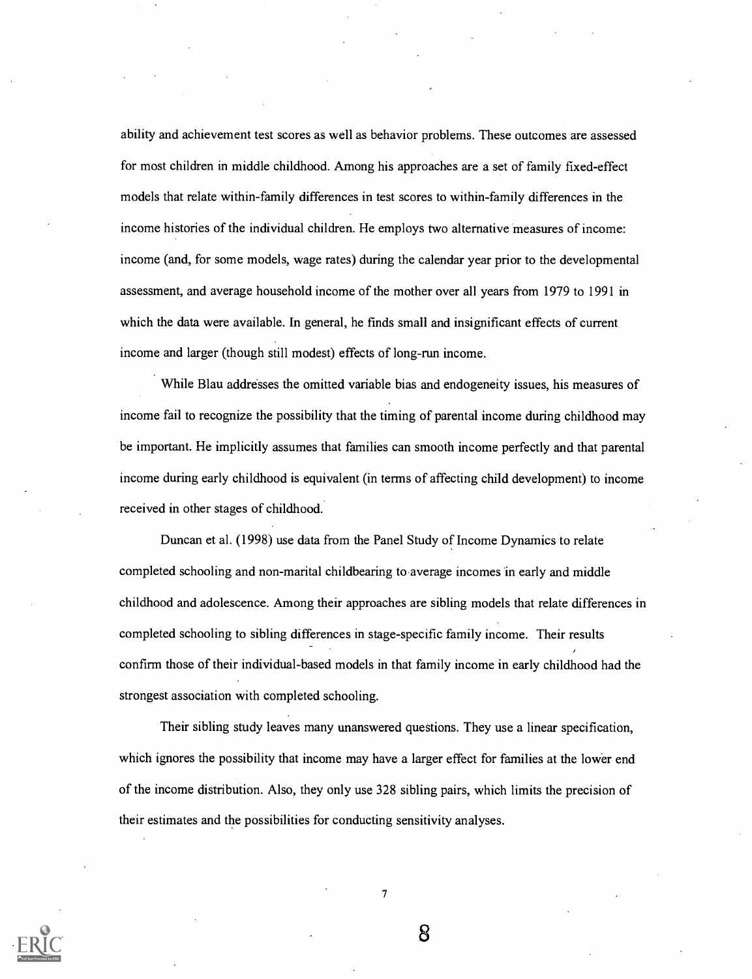ability and achievement test scores as well as behavior problems. These outcomes are assessed for most children in middle childhood. Among his approaches are a set of family fixed-effect models that relate within-family differences in test scores to within-family differences in the income histories of the individual children. He employs two alternative measures of income: income (and, for some models, wage rates) during the calendar year prior to the developmental assessment, and average household income of the mother over all years from 1979 to 1991 in which the data were available. In general, he finds small and insignificant effects of current income and larger (though still modest) effects of long-run income.

While Blau addresses the omitted variable bias and endogeneity issues, his measures of income fail to recognize the possibility that the timing of parental income during childhood may be important. He implicitly assumes that families can smooth income perfectly and that parental income during early childhood is equivalent (in terms of affecting child development) to income received in other stages of childhood.

Duncan et al. (1998) use data from the Panel Study of Income Dynamics to relate completed schooling and non-marital childbearing to average incomes in early and middle childhood and adolescence. Among their approaches are sibling models that relate differences in completed schooling to sibling differences in stage-specific family income. Their results confirm those of their individual-based models in that family income in early childhood had the strongest association with completed schooling.

Their sibling study leaves many unanswered questions. They use a linear specification, which ignores the possibility that income may have a larger effect for families at the lower end of the income distribution. Also, they only use 328 sibling pairs, which limits the precision of their estimates and the possibilities for conducting sensitivity analyses.

7

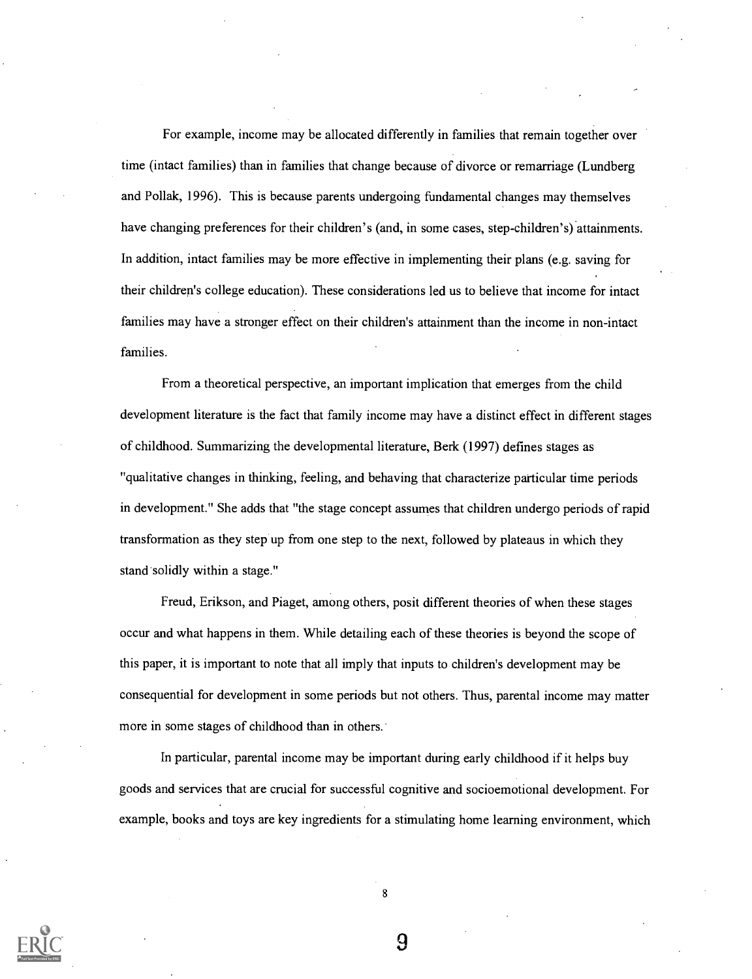For example, income may be allocated differently in families that remain together over time (intact families) than in families that change because of divorce or remarriage (Lundberg and Pollak, 1996). This is because parents undergoing fundamental changes may themselves have changing preferences for their children's (and, in some cases, step-children's) attainments. In addition, intact families may be more effective in implementing their plans (e.g. saving for their children's college education). These considerations led us to believe that income for intact families may have a stronger effect on their children's attainment than the income in non-intact families.

From a theoretical perspective, an important implication that emerges from the child development literature is the fact that family income may have a distinct effect in different stages of childhood. Summarizing the developmental literature, Berk (1997) defines stages as "qualitative changes in thinking, feeling, and behaving that characterize particular time periods in development." She adds that "the stage concept assumes that children undergo periods of rapid transformation as they step up from one step to the next, followed by plateaus in which they stand solidly within a stage."

Freud, Erikson, and Piaget, among others, posit different theories of when these stages occur and what happens in them. While detailing each of these theories is beyond the scope of this paper, it is important to note that all imply that inputs to children's development may be consequential for development in some periods but not others. Thus, parental income may matter more in some stages of childhood than in others.

In particular, parental income may be important during early childhood if it helps buy goods and services that are crucial for successful cognitive and socioemotional development. For example, books and toys are key ingredients for a stimulating home learning environment, which

8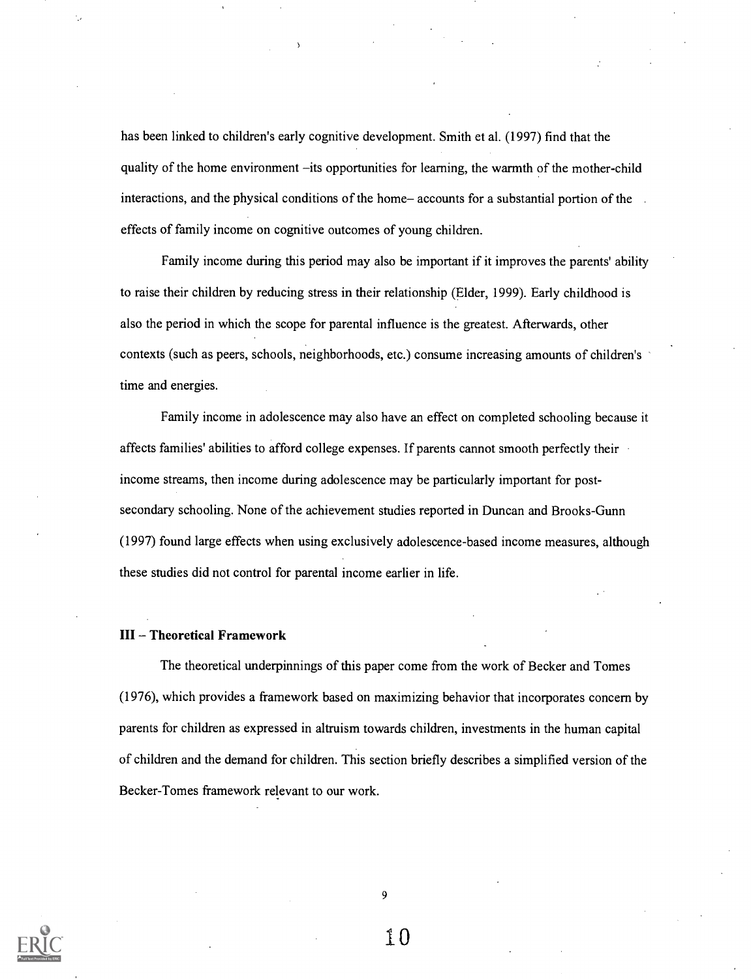has been linked to children's early cognitive development. Smith et al. (1997) find that the quality of the home environment -its opportunities for learning, the warmth of the mother-child interactions, and the physical conditions of the home-accounts for a substantial portion of the effects of family income on cognitive outcomes of young children.

Family income during this period may also be important if it improves the parents' ability to raise their children by reducing stress in their relationship (Elder, 1999). Early childhood is also the period in which the scope for parental influence is the greatest. Afterwards, other contexts (such as peers, schools, neighborhoods, etc.) consume increasing amounts of children's time and energies.

Family income in adolescence may also have an effect on completed schooling because it affects families' abilities to afford college expenses. If parents cannot smooth perfectly their income streams, then income during adolescence may be particularly important for postsecondary schooling. None of the achievement studies reported in Duncan and Brooks-Gunn (1997) found large effects when using exclusively adolescence-based income measures, although these studies did not control for parental income earlier in life.

#### III - Theoretical Framework

The theoretical underpinnings of this paper come from the work of Becker and Tomes (1976), which provides a framework based on maximizing behavior that incorporates concern by parents for children as expressed in altruism towards children, investments in the human capital of children and the demand for children. This section briefly describes a simplified version of the Becker-Tomes framework relevant to our work.



9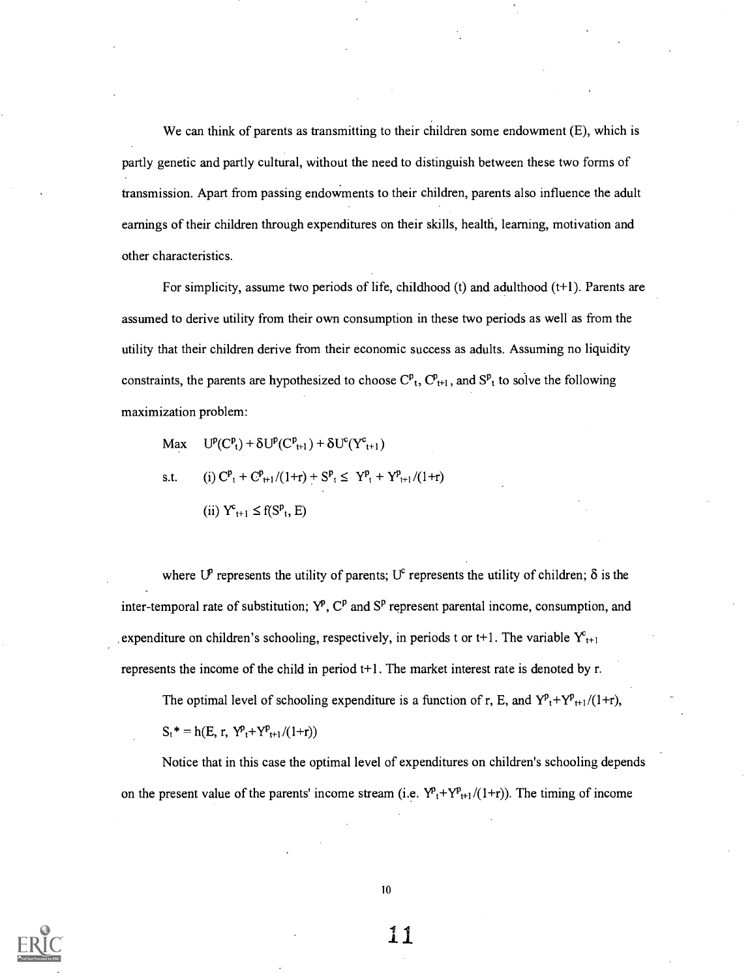We can think of parents as transmitting to their children some endowment (E), which is partly genetic and partly cultural, without the need to distinguish between these two forms of transmission. Apart from passing endowments to their children, parents also influence the adult earnings of their children through expenditures on their skills, health, learning, motivation and other characteristics.

For simplicity, assume two periods of life, childhood  $(t)$  and adulthood  $(t+1)$ . Parents are assumed to derive utility from their own consumption in these two periods as well as from the utility that their children derive from their economic success as adults. Assuming no liquidity constraints, the parents are hypothesized to choose  $C_{t}^{p}$ ,  $C_{t+1}^{p}$ , and  $S_{t}^{p}$  to solve the following maximization problem:

Max 
$$
U^p(C^p_t) + \delta U^p(C^p_{t+1}) + \delta U^c(Y^c_{t+1})
$$
  
s.t. (i)  $C^p_t + C^p_{t+1}/(1+r) + S^p_t \leq Y^p_t + Y^p_{t+1}/(1+r)$   
(ii)  $Y^c_{t+1} \leq f(S^p_t, E)$ 

where U<sup>P</sup> represents the utility of parents; U<sup>c</sup> represents the utility of children;  $\delta$  is the inter-temporal rate of substitution;  $Y^p$ ,  $C^p$  and  $S^p$  represent parental income, consumption, and expenditure on children's schooling, respectively, in periods t or t+1. The variable  $Y_{t+1}$ represents the income of the child in period t+1. The market interest rate is denoted by r.

The optimal level of schooling expenditure is a function of r, E, and  $Y^p{}_t+Y^p{}_{t+1}/(1+r)$ ,

 $S_t^* = h(E, r, Y_{t+1}^p + Y_{t+1}^p/(1+r))$ 

Notice that in this case the optimal level of expenditures on children's schooling depends on the present value of the parents' income stream (i.e.  $Y_{t+Y_{t+1}}(1+r)$ ). The timing of income



10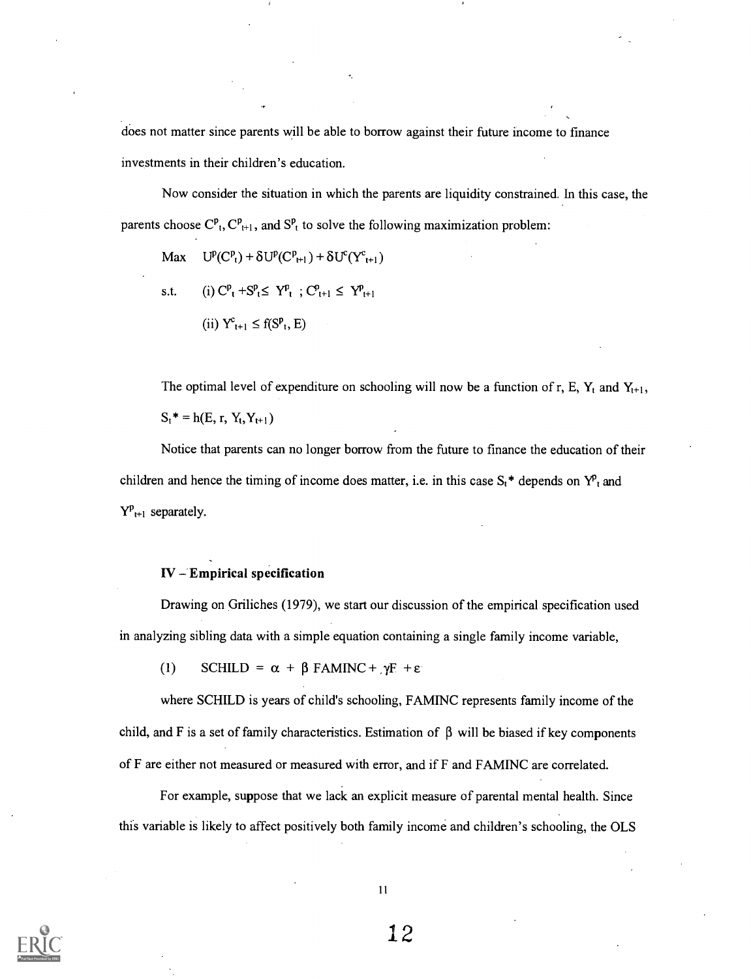does not matter since parents will be able to borrow against their future income to finance investments in their children's education.

Now consider the situation in which the parents are liquidity constrained. In this case, the parents choose  $C_{t}^{p}$ ,  $C_{t+1}^{p}$ , and  $S_{t}^{p}$  to solve the following maximization problem:

Max 
$$
U^{p}(C^{p}_{t}) + \delta U^{p}(C^{p}_{t+1}) + \delta U^{c}(Y^{c}_{t+1})
$$
  
s.t. (i)  $C^{p}_{t} + S^{p}_{t} \leq Y^{p}_{t}$ ;  $C^{p}_{t+1} \leq Y^{p}_{t+1}$   
(ii)  $Y^{c}_{t+1} \leq f(S^{p}_{t}, E)$ 

The optimal level of expenditure on schooling will now be a function of r, E,  $Y_t$  and  $Y_{t+1}$ ,  $S_t^* = h(E, r, Y_t, Y_{t+1})$ 

Notice that parents can no longer borrow from the future to finance the education of their children and hence the timing of income does matter, i.e. in this case  $S_t^*$  depends on  $Y^p$ <sub>t</sub> and  $Y_{t+1}^p$  separately.

#### $IV$  – Empirical specification

Drawing on Griliches (1979), we start our discussion of the empirical specification used in analyzing sibling data with a simple equation containing a single family income variable,

(1) SCHILD =  $\alpha$  +  $\beta$  FAMINC +  $\gamma$ F +  $\epsilon$ 

where SCHILD is years of child's schooling, FAMINC represents family income of the child, and F is a set of family characteristics. Estimation of  $\beta$  will be biased if key components of F are either not measured or measured with error, and if F and FAMINC are correlated.

For example, suppose that we lack an explicit measure of parental mental health. Since this variable is likely to affect positively both family income and children's schooling, the OLS

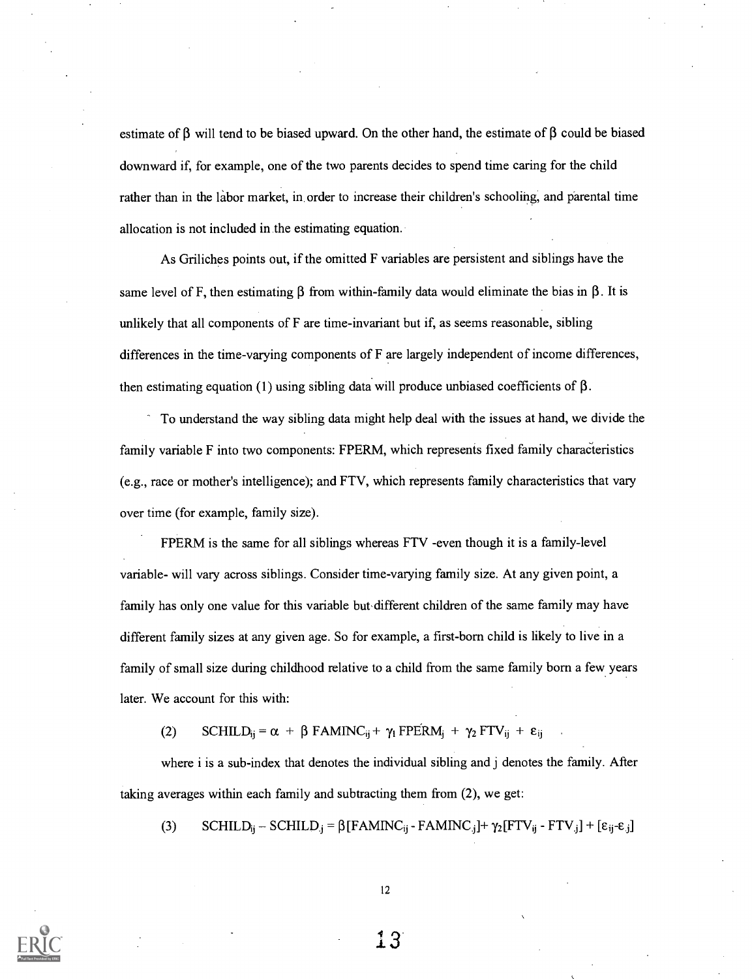estimate of  $\beta$  will tend to be biased upward. On the other hand, the estimate of  $\beta$  could be biased downward if, for example, one of the two parents decides to spend time caring for the child rather than in the labor market, in order to increase their children's schooling, and parental time allocation is not included in the estimating equation.

As Griliches points out, if the omitted F variables are persistent and siblings have the same level of F, then estimating  $\beta$  from within-family data would eliminate the bias in  $\beta$ . It is unlikely that all components of F are time-invariant but if, as seems reasonable, sibling differences in the time-varying components of F are largely independent of income differences, then estimating equation (1) using sibling data will produce unbiased coefficients of  $\beta$ .

To understand the way sibling data might help deal with the issues at hand, we divide the family variable F into two components: FPERM, which represents fixed family characteristics (e.g., race or mother's intelligence); and FTV, which represents family characteristics that vary over time (for example, family size).

FPERM is the same for all siblings whereas FTV -even though it is a family-level variable- will vary across siblings. Consider time-varying family size. At any given point, a family has only one value for this variable but different children of the same family may have different family sizes at any given age. So for example, a first-born child is likely to live in a family of small size during childhood relative to a child from the same family born a few years later. We account for this with:

(2) SCHILD<sub>ij</sub> =  $\alpha$  +  $\beta$  FAMINC<sub>ij</sub> +  $\gamma_1$  FPERM<sub>j</sub> +  $\gamma_2$  FTV<sub>ij</sub> +  $\varepsilon$ <sub>ij</sub>

where i is a sub-index that denotes the individual sibling and j denotes the family. After taking averages within each family and subtracting them from (2), we get:

(3) SCHILD<sub>ij</sub> – SCHILD<sub>.j</sub> =  $\beta$ [FAMINC<sub>ij</sub> - FAMINC<sub>i</sub>]+  $\gamma_2$ [FTV<sub>ij</sub> - FTV<sub>i</sub>] + [ $\varepsilon_{ij}$ - $\varepsilon_{.j}$ ]



12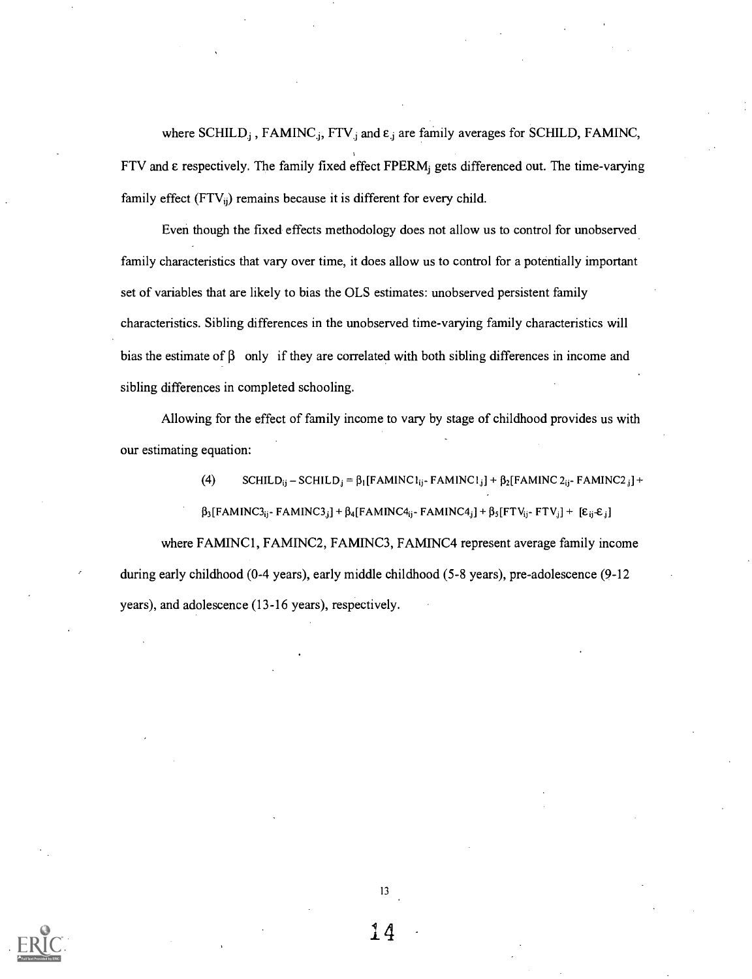where SCHILD<sub>j</sub>, FAMINC<sub>j</sub>, FTV<sub>j</sub> and  $\varepsilon_j$  are family averages for SCHILD, FAMINC,  $FTV$  and  $\varepsilon$  respectively. The family fixed effect  $FPERM$  gets differenced out. The time-varying family effect  $(FTV_{ii})$  remains because it is different for every child.

Even though the fixed effects methodology does not allow us to control for unobserved family characteristics that vary over time, it does allow us to control for a potentially important set of variables that are likely to bias the OLS estimates: unobserved persistent family characteristics. Sibling differences in the unobserved time-varying family characteristics will bias the estimate of  $\beta$  only if they are correlated with both sibling differences in income and sibling differences in completed schooling.

Allowing for the effect of family income to vary by stage of childhood provides us with our estimating equation:

> (4) SCHILD<sub>ij</sub> – SCHILD<sub>j</sub> =  $\beta_1$ [FAMINC 1<sub>ij</sub> - FAMINC 1<sub>j</sub>] +  $\beta_2$ [FAMINC 2<sub>ij</sub> - FAMINC2 <sub>j</sub>] +  $\beta_3$ [FAMINC3<sub>ii</sub>- FAMINC3<sub>i</sub>] +  $\beta_4$ [FAMINC4<sub>ii</sub>- FAMINC4<sub>i</sub>] +  $\beta_5$ [FTV<sub>ii</sub>- FTV<sub>i</sub>] + [ $\epsilon_{ij}$ · $\epsilon_{j}$ ]

where FAMINC1, FAMINC2, FAMINC3, FAMINC4 represent average family income during early childhood (0-4 years), early middle childhood (5-8 years), pre-adolescence (9-12 years), and adolescence (13-16 years), respectively.



13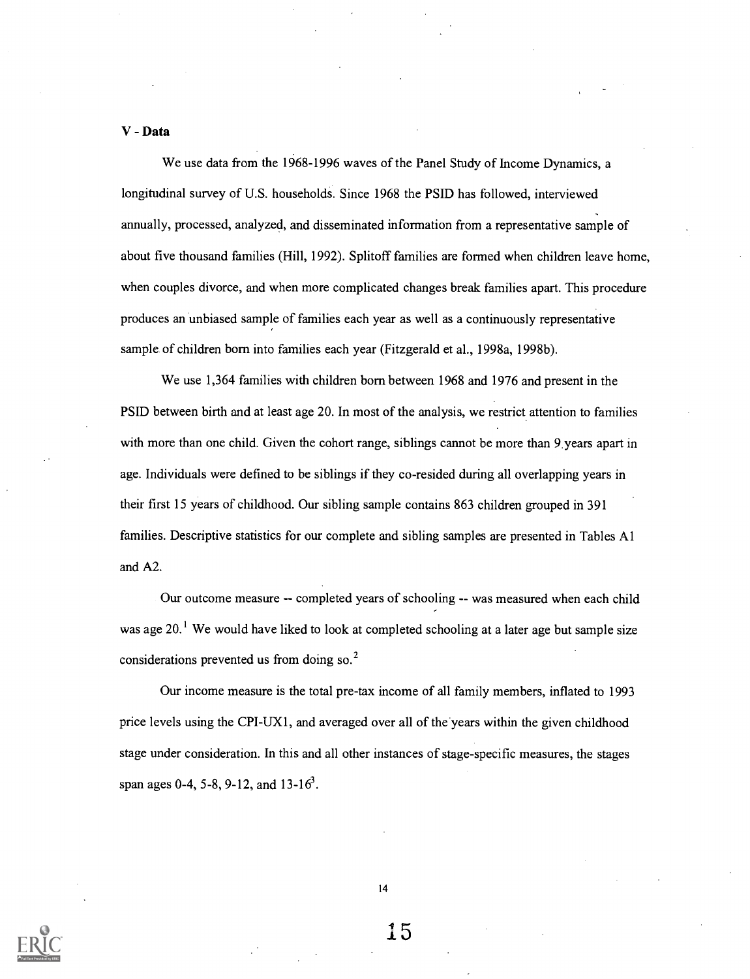#### V - Data

We use data from the 1968-1996 waves of the Panel Study of Income Dynamics, a longitudinal survey of U.S. households. Since 1968 the PSID has followed, interviewed annually, processed, analyzed, and disseminated information from a representative sample of about five thousand families (Hill, 1992). Splitoff families are formed when children leave home, when couples divorce, and when more complicated changes break families apart. This procedure produces an unbiased sample of families each year as well as a continuously representative sample of children born into families each year (Fitzgerald et al., 1998a, 1998b).

We use 1,364 families with children born between 1968 and 1976 and present in the PSID between birth and at least age 20. In most of the analysis, we restrict attention to families with more than one child. Given the cohort range, siblings cannot be more than 9 years apart in age. Individuals were defined to be siblings if they co-resided during all overlapping years in their first 15 years of childhood. Our sibling sample contains 863 children grouped in 391 families. Descriptive statistics for our complete and sibling samples are presented in Tables Al and A2.

Our outcome measure -- completed years of schooling -- was measured when each child was age 20.<sup>1</sup> We would have liked to look at completed schooling at a later age but sample size considerations prevented us from doing so.<sup>2</sup>

Our income measure is the total pre-tax income of all family members, inflated to 1993 price levels using the CPI-UX I, and averaged over all of the years within the given childhood stage under consideration. In this and all other instances of stage-specific measures, the stages span ages 0-4, 5-8, 9-12, and 13-16<sup>3</sup>.

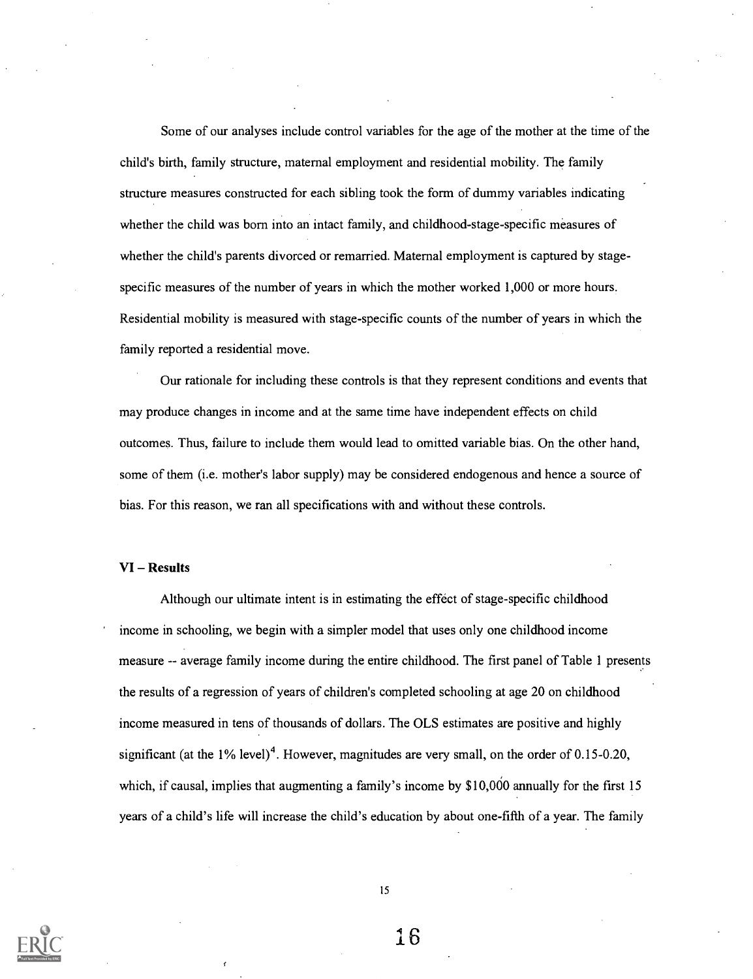Some of our analyses include control variables for the age of the mother at the time of the child's birth, family structure, maternal employment and residential mobility. The family structure measures constructed for each sibling took the form of dummy variables indicating whether the child was born into an intact family, and childhood-stage-specific measures of whether the child's parents divorced or remarried. Maternal employment is captured by stagespecific measures of the number of years in which the mother worked 1,000 or more hours. Residential mobility is measured with stage-specific counts of the number of years in which the family reported a residential move.

Our rationale for including these controls is that they represent conditions and events that may produce changes in income and at the same time have independent effects on child outcomes. Thus, failure to include them would lead to omitted variable bias. On the other hand, some of them (i.e. mother's labor supply) may be considered endogenous and hence a source of bias. For this reason, we ran all specifications with and without these controls.

#### VI - Results

Although our ultimate intent is in estimating the effect of stage-specific childhood income in schooling, we begin with a simpler model that uses only one childhood income measure -- average family income during the entire childhood. The first panel of Table 1 presents the results of a regression of years of children's completed schooling at age 20 on childhood income measured in tens of thousands of dollars. The OLS estimates are positive and highly significant (at the  $1\%$  level)<sup>4</sup>. However, magnitudes are very small, on the order of 0.15-0.20, which, if causal, implies that augmenting a family's income by \$10,000 annually for the first 15 years of a child's life will increase the child's education by about one-fifth of a year. The family

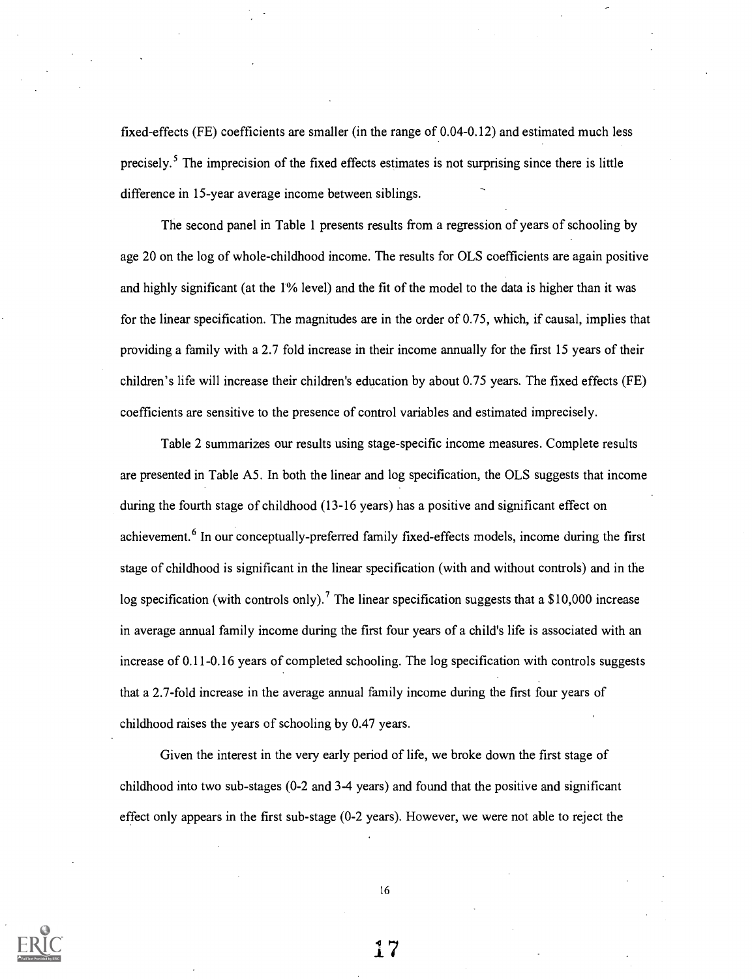fixed-effects (FE) coefficients are smaller (in the range of 0.04-0.12) and estimated much less precisely.<sup>5</sup> The imprecision of the fixed effects estimates is not surprising since there is little difference in 15-year average income between siblings.

The second panel in Table 1 presents results from a regression of years of schooling by age 20 on the log of whole-childhood income. The results for OLS coefficients are again positive and highly significant (at the 1% level) and the fit of the model to the data is higher than it was for the linear specification. The magnitudes are in the order of 0.75, which, if causal, implies that providing a family with a 2.7 fold increase in their income annually for the first 15 years of their children's life will increase their children's education by about 0.75 years. The fixed effects (FE) coefficients are sensitive to the presence of control variables and estimated imprecisely.

Table 2 summarizes our results using stage-specific income measures. Complete results are presented in Table A5. In both the linear and log specification, the OLS suggests that income during the fourth stage of childhood (13-16 years) has a positive and significant effect on achievement.<sup>6</sup> In our conceptually-preferred family fixed-effects models, income during the first stage of childhood is significant in the linear specification (with and without controls) and in the log specification (with controls only).<sup>7</sup> The linear specification suggests that a \$10,000 increase in average annual family income during the first four years of a child's life is associated with an increase of 0.11-0.16 years of completed schooling. The log specification with controls suggests that a 2.7-fold increase in the average annual family income during the first four years of childhood raises the years of schooling by 0.47 years.

Given the interest in the very early period of life, we broke down the first stage of childhood into two sub-stages (0-2 and 3-4 years) and found that the positive and significant effect only appears in the first sub-stage (0-2 years). However, we were not able to reject the

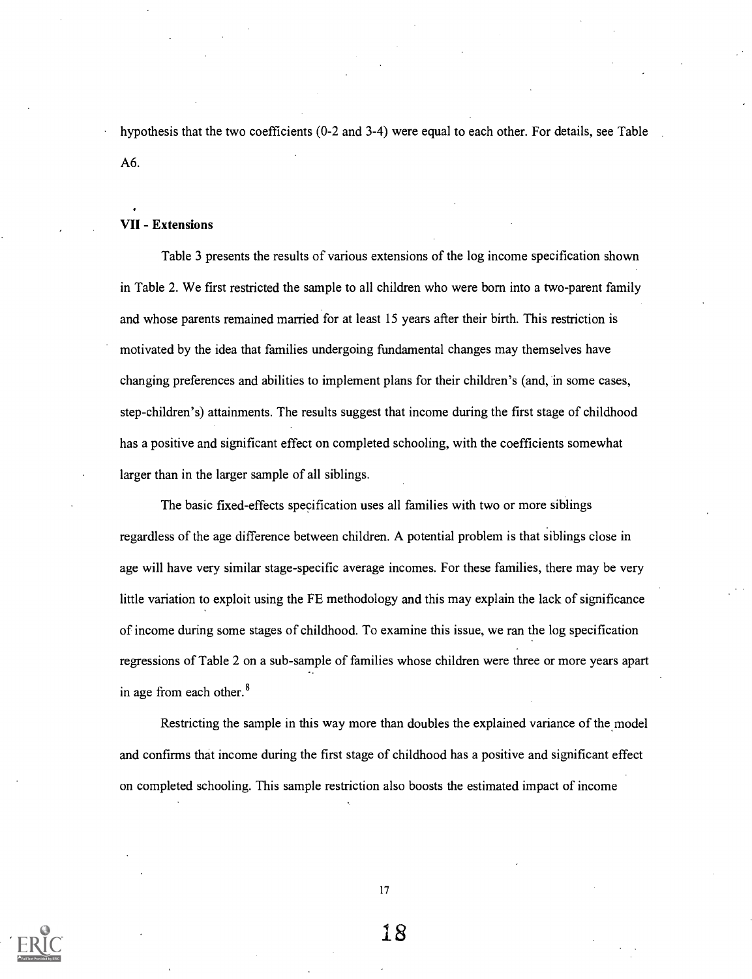hypothesis that the two coefficients (0-2 and 3-4) were equal to each other. For details, see Table A6.

#### VII - Extensions

Table 3 presents the results of various extensions of the log income specification shown in Table 2. We first restricted the sample to all children who were born into a two-parent family and whose parents remained married for at least 15 years after their birth. This restriction is motivated by the idea that families undergoing fundamental changes may themselves have changing preferences and abilities to implement plans for their children's (and, in some cases, step-children's) attainments. The results suggest that income during the first stage of childhood has a positive and significant effect on completed schooling, with the coefficients somewhat larger than in the larger sample of all siblings.

The basic fixed-effects specification uses all families with two or more siblings regardless of the age difference between children. A potential problem is that siblings close in age will have very similar stage-specific average incomes. For these families, there may be very little variation to exploit using the FE methodology and this may explain the lack of significance of income during some stages of childhood. To examine this issue, we ran the log specification regressions of Table 2 on a sub-sample of families whose children were three or more years apart in age from each other.<sup>8</sup>

Restricting the sample in this way more than doubles the explained variance of the model and confirms that income during the first stage of childhood has a positive and significant effect on completed schooling. This sample restriction also boosts the estimated impact of income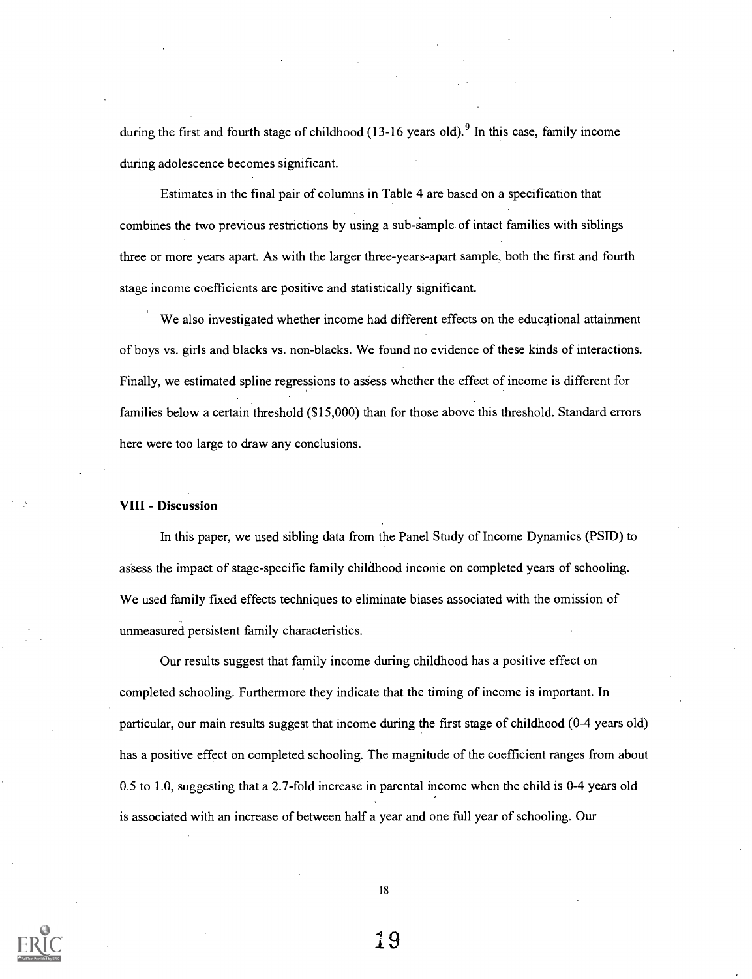during the first and fourth stage of childhood  $(13-16 \text{ years old})^9$  In this case, family income during adolescence becomes significant.

Estimates in the final pair of columns in Table 4 are based on a specification that combines the two previous restrictions by using a sub-sample of intact families with siblings three or more years apart. As with the larger three-years-apart sample, both the first and fourth stage income coefficients are positive and statistically significant.

We also investigated whether income had different effects on the educational attainment of boys vs. girls and blacks vs. non-blacks. We found no evidence of these kinds of interactions. Finally, we estimated spline regressions to assess whether the effect of income is different for families below a certain threshold (\$15,000) than for those above this threshold. Standard errors here were too large to draw any conclusions.

#### VIII - Discussion

In this paper, we used sibling data from the Panel Study of Income Dynamics (PSID) to assess the impact of stage-specific family childhood income on completed years of schooling. We used family fixed effects techniques to eliminate biases associated with the omission of unmeasured persistent family characteristics.

Our results suggest that family income during childhood has a positive effect on completed schooling. Furthermore they indicate that the timing of income is important. In particular, our main results suggest that income during the first stage of childhood (0-4 years old) has a positive effect on completed schooling. The magnitude of the coefficient ranges from about 0.5 to 1.0, suggesting that a 2.7-fold increase in parental income when the child is 0-4 years old is associated with an increase of between half a year and one full year of schooling. Our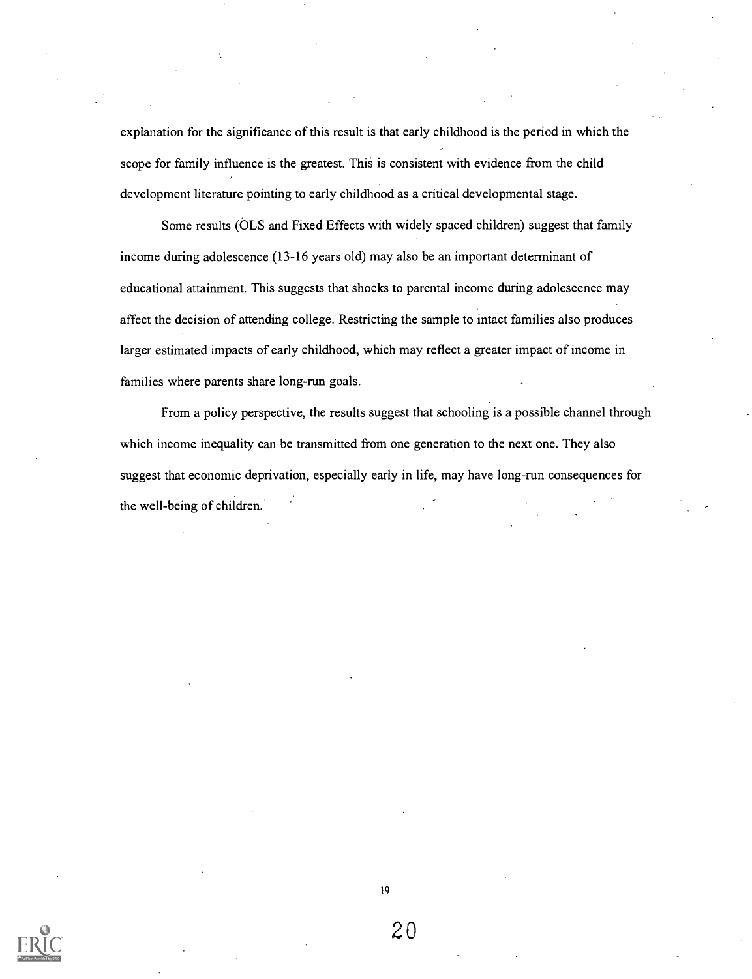explanation for the significance of this result is that early childhood is the period in which the scope for family influence is the greatest. This is consistent with evidence from the child development literature pointing to early childhood as a critical developmental stage.

Some results (OLS and Fixed Effects with widely spaced children) suggest that family income during adolescence (13-16 years old) may also be an important determinant of educational attainment. This suggests that shocks to parental income during adolescence may affect the decision of attending college. Restricting the sample to intact families also produces larger estimated impacts of early childhood, which may reflect a greater impact of income in families where parents share long-run goals.

From a policy perspective, the results suggest that schooling is a possible channel through which income inequality can be transmitted from one generation to the next one. They also suggest that economic deprivation, especially early in life, may have long-run consequences for the well-being of children.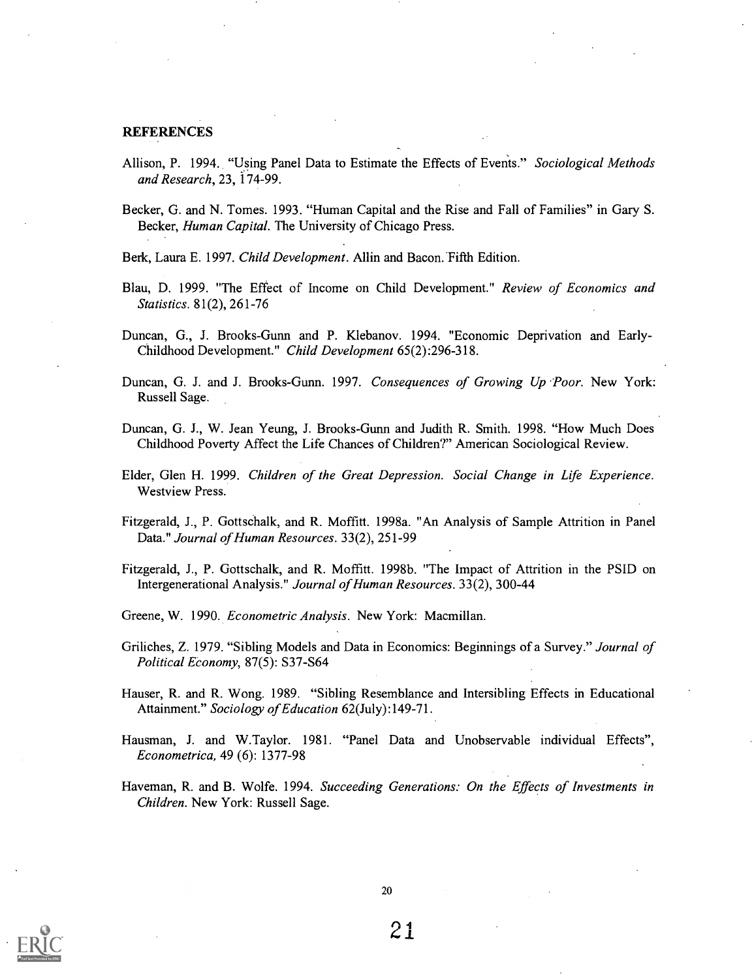#### **REFERENCES**

- Allison, P. 1994. "Using Panel Data to Estimate the Effects of Events." Sociological Methods and Research, 23, 174-99.
- Becker, G. and N. Tomes. 1993. "Human Capital and the Rise and Fall of Families" in Gary S. Becker, Human Capital. The University of Chicago Press.
- Berk, Laura E. 1997. Child Development. Allin and Bacon. Fifth Edition.
- Blau, D. 1999. "The Effect of Income on Child Development." Review of Economics and Statistics. 81(2), 261-76
- Duncan, G., J. Brooks-Gunn and P. Klebanov. 1994. "Economic Deprivation and Early-Childhood Development." Child Development 65(2):296-318.
- Duncan, G. J. and J. Brooks-Gunn. 1997. Consequences of Growing Up 'Poor. New York: Russell Sage.
- Duncan, G. J., W. Jean Yeung, J. Brooks-Gunn and Judith R. Smith. 1998. "How Much Does Childhood Poverty Affect the Life Chances of Children?" American Sociological Review.
- Elder, Glen H. 1999. Children of the Great Depression. Social Change in Life Experience. Westview Press.
- Fitzgerald, J., P. Gottschalk, and R. Moffitt. 1998a. "An Analysis of Sample Attrition in Panel Data." Journal of Human Resources. 33(2), 251-99
- Fitzgerald, J., P. Gottschalk, and R. Moffitt. 1998b. "The Impact of Attrition in the PSID on Intergenerational Analysis." Journal of Human Resources. 33(2), 300-44

Greene, W. 1990. Econometric Analysis. New York: Macmillan.

- Griliches, Z. 1979. "Sibling Models and Data in Economics: Beginnings of a Survey." Journal of Political Economy, 87(5): S37-S64
- Hauser, R. and R. Wong. 1989. "Sibling Resemblance and Intersibling Effects in Educational Attainment." Sociology of Education 62(July):149-71.
- Hausman, J. and W.Taylor. 1981. "Panel Data and Unobservable individual Effects", Econometrica, 49 (6): 1377-98
- Haveman, R. and B. Wolfe. 1994. Succeeding Generations: On the Effects of Investments in Children. New York: Russell Sage.



20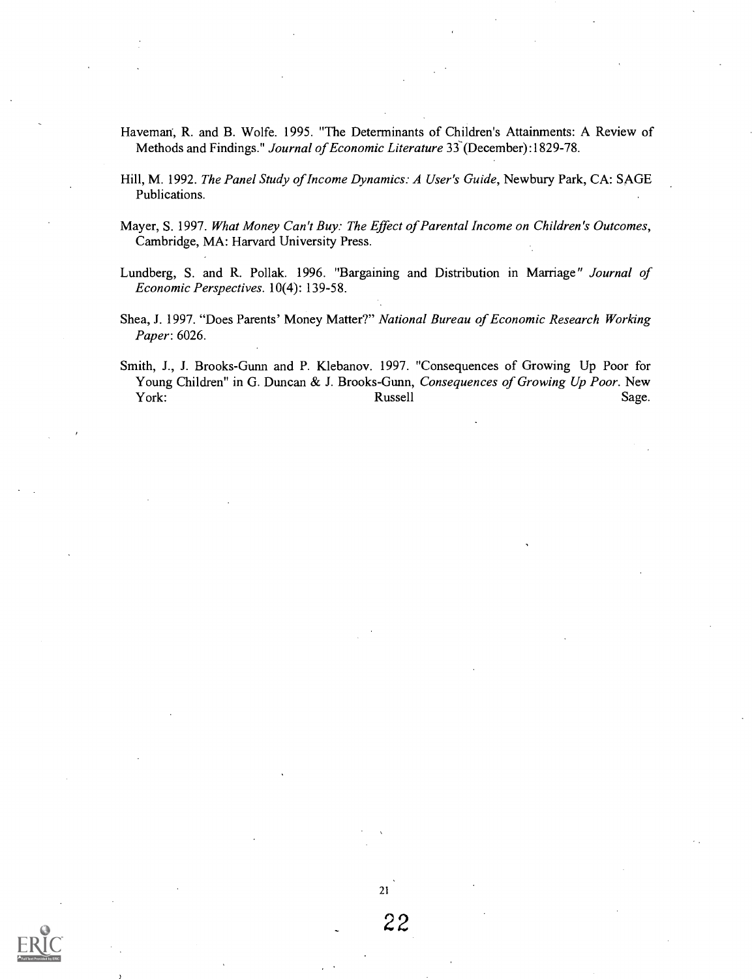- Haveman, R. and B. Wolfe. 1995. "The Determinants of Children's Attainments: A Review of Methods and Findings." Journal of Economic Literature 33 (December):1829-78.
- Hill, M. 1992. The Panel Study of Income Dynamics: A User's Guide, Newbury Park, CA: SAGE Publications.
- Mayer, S. 1997. What Money Can't Buy: The Effect of Parental Income on Children's Outcomes, Cambridge, MA: Harvard University Press.
- Lundberg, S. and R. Pollak. 1996. "Bargaining and Distribution in Marriage" Journal of Economic Perspectives. 10(4): 139-58.
- Shea, J. 1997. "Does Parents' Money Matter?" National Bureau of Economic Research Working Paper: 6026.
- Smith, J., J. Brooks-Gunn and P. Klebanov. 1997. "Consequences of Growing Up Poor for Young Children" in G. Duncan & J. Brooks-Gunn, Consequences of Growing Up Poor. New York: Sage. Russell Sage. Sage. Sage. Sage. Sage. Sage. Sage. Sage. Sage. Sage. Sage. Sage. Sage. Sage. Sage. Sage. Sage. Sage. Sage. Sage. Sage. Sage. Sage. Sage. Sage. Sage. Sage. Sage. Sage. Sage. Sage. Sage. Sage. Sage



J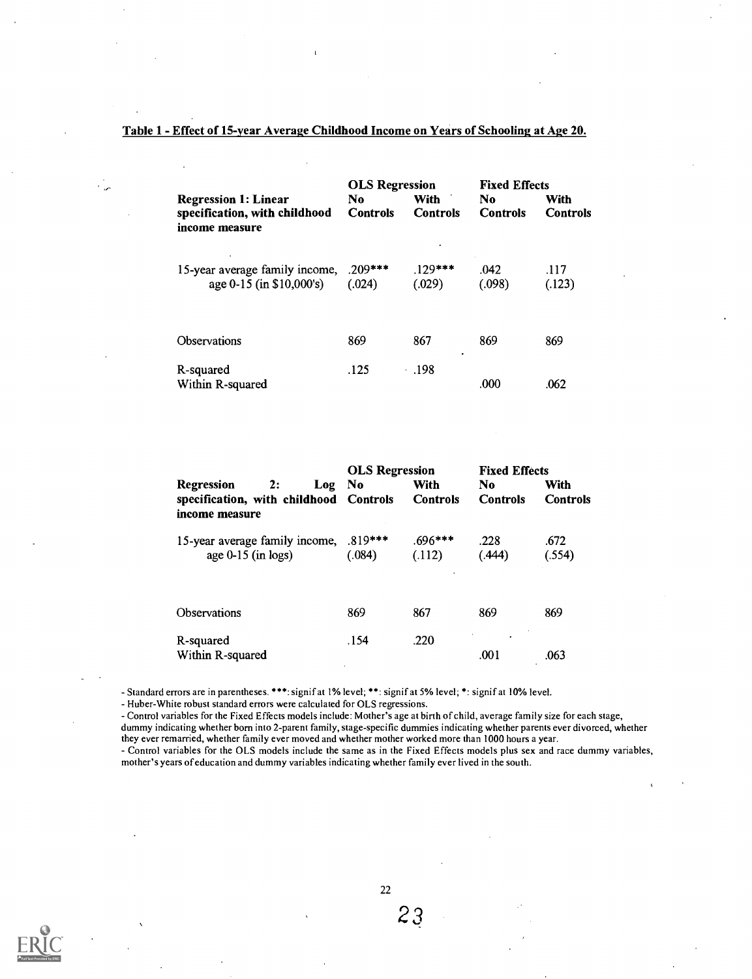#### Table 1 - Effect of 15-year Average Childhood Income on Years of Schooling at Age 20.

| <b>Regression 1: Linear</b><br>specification, with childhood<br>income measure | <b>OLS</b> Regression<br>No.<br><b>Controls</b> | With<br><b>Controls</b> | <b>Fixed Effects</b><br>No.<br><b>Controls</b> | With<br><b>Controls</b> |
|--------------------------------------------------------------------------------|-------------------------------------------------|-------------------------|------------------------------------------------|-------------------------|
| 15-year average family income,<br>age 0-15 (in \$10,000's)                     | $.209***$<br>(.024)                             | $.129***$<br>(.029)     | .042<br>(.098)                                 | .117<br>(.123)          |
| Observations                                                                   | 869                                             | 867<br>٠                | 869                                            | 869                     |
| R-squared<br>Within R-squared                                                  | .125                                            | .198                    | .000                                           | .062                    |

|                                        |                      |        | <b>OLS Regression</b> |                 | <b>Fixed Effects</b> |                 |
|----------------------------------------|----------------------|--------|-----------------------|-----------------|----------------------|-----------------|
| Regression                             | 2:                   | Log No |                       | With            | No.                  | With            |
| specification, with childhood Controls |                      |        |                       | <b>Controls</b> | <b>Controls</b>      | <b>Controls</b> |
| income measure                         |                      |        |                       |                 |                      |                 |
| 15-year average family income,         |                      |        | $.819***$             | $.696***$       | .228                 | .672            |
|                                        | age $0-15$ (in logs) |        | (.084)                | (.112)          | (.444)               | (.554)          |
|                                        |                      |        |                       |                 |                      |                 |
| Observations                           |                      |        | 869                   | 867             | 869                  | 869             |
|                                        |                      |        |                       |                 |                      |                 |
| R-squared                              |                      |        | .154                  | .220            | .001                 |                 |
| Within R-squared                       |                      |        |                       |                 |                      | .063            |

- Standard errors are in parentheses. \*\*\*: signif at 1% level; \*\*: signif at 5% level; \*: signif at 10% level.

- Huber-White robust standard errors were calculated for OLS regressions.

Control variables for the Fixed Effects models include: Mother's age at birth of child, average family size for each stage, dummy indicating whether born into 2-parent family, stage-specific dummies indicating whether parents ever divorced, whether they ever remarried, whether family ever moved and whether mother worked more than 1000 hours a year. - Control variables for the OLS models include the same as in the Fixed Effects models plus sex and race dummy variables, mother's years of education and dummy variables indicating whether family ever lived in the south.

22

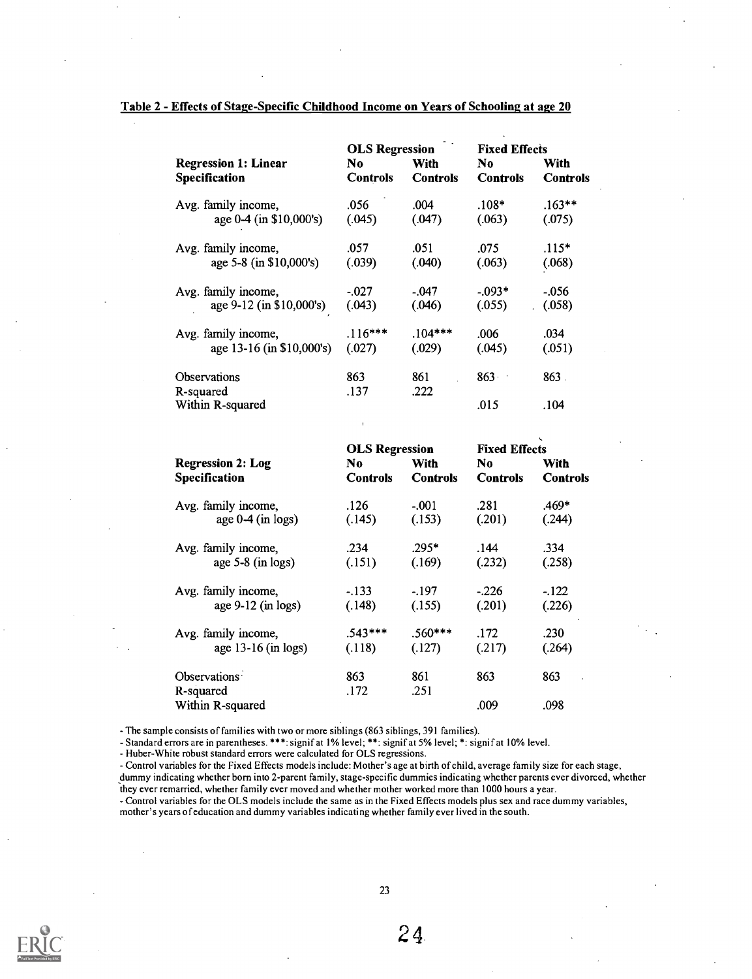#### Table 2 - Effects of Stage-Specific Childhood Income on Years of Schooling at age 20

|                                              | <b>OLS Regression</b>  |                                | <b>Fixed Effects</b>  |                         |
|----------------------------------------------|------------------------|--------------------------------|-----------------------|-------------------------|
| <b>Regression 1: Linear</b><br>Specification | No.<br><b>Controls</b> | <b>With</b><br><b>Controls</b> | No<br><b>Controls</b> | With<br><b>Controls</b> |
| Avg. family income,                          | .056                   | .004                           | $.108*$               | $.163***$               |
| age 0-4 (in \$10,000's)                      | (.045)                 | (.047)                         | (.063)                | (.075)                  |
| Avg. family income,                          | .057                   | .051                           | .075                  | $.115*$                 |
| age 5-8 (in \$10,000's)                      | (.039)                 | (.040)                         | (.063)                | (.068)                  |
| Avg. family income,                          | $-.027$                | $-.047$                        | $-0.093*$             | $-.056$                 |
| age 9-12 (in \$10,000's)                     | (.043)                 | (.046)                         | (.055)                | (.058)                  |
| Avg. family income,                          | $.116***$              | $.104***$                      | .006                  | .034                    |
| age 13-16 (in \$10,000's)                    | (.027)                 | (.029)                         | (.045)                | (.051)                  |
| Observations                                 | 863                    | 861                            | 863                   | $863$ .                 |
| R-squared                                    | .137                   | .222                           |                       |                         |
| Within R-squared                             |                        |                                | .015                  | .104                    |

|                          | <b>OLS Regression</b> |                 | <b>Fixed Effects</b> |                 |
|--------------------------|-----------------------|-----------------|----------------------|-----------------|
| <b>Regression 2: Log</b> | No                    | With            | No                   | With            |
| <b>Specification</b>     | <b>Controls</b>       | <b>Controls</b> | <b>Controls</b>      | <b>Controls</b> |
| Avg. family income,      | .126                  | $-.001$         | .281                 | .469*           |
| age $0-4$ (in logs)      | (.145)                | (.153)          | (.201)               | (.244)          |
| Avg. family income,      | .234                  | $.295*$         | .144                 | .334            |
| age $5-8$ (in logs)      | (.151)                | (.169)          | (.232)               | (.258)          |
| Avg. family income,      | $-.133$               | - 197           | $-226$               | $-122$          |
| age $9-12$ (in logs)     | (.148)                | (.155)          | (.201)               | (.226)          |
| Avg. family income,      | $.543***$             | $.560***$       | .172                 | .230            |
| age $13-16$ (in logs)    | (.118)                | (.127)          | (.217)               | (.264)          |
| Observations             | 863                   | 861             | 863                  | 863             |
| R-squared                | .172                  | .251            |                      |                 |
| Within R-squared         |                       |                 | .009                 | .098            |

- The sample consists of families with two or more siblings (863 siblings, 391 families).

Standard errors are in parentheses. \*\*\*: signif at 1% level; \*\*: signif at 5% level; \*: signif at 10% level.

- Huber-White robust standard errors were calculated for OLS regressions.

Control variables for the Fixed Effects models include: Mother's age at birth of child, average family size for each stage, dummy indicating whether born into 2-parent family, stage-specific dummies indicating whether parents ever divorced, whether they ever remarried, whether family ever moved and whether mother worked more than 1000 hours a year.

Control variables for the OLS models include the same as in the Fixed Effects models plus sex and race dummy variables, mother's years of education and dummy variables indicating whether family ever lived in the south.



24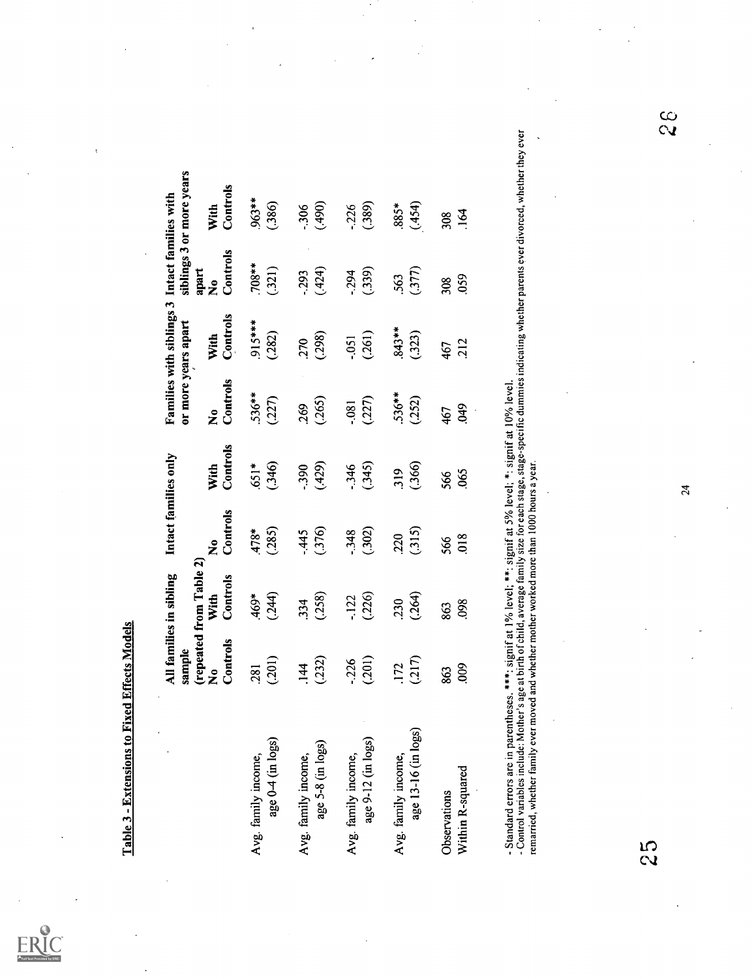|                                                                                                                                                                                                                                                                                                                                                                                                      | sample                         | All families in sibling                     | Intact families only             |                  | or more years apart              | Families with siblings 3 Intact families with |                                           | siblings 3 or more years |               |
|------------------------------------------------------------------------------------------------------------------------------------------------------------------------------------------------------------------------------------------------------------------------------------------------------------------------------------------------------------------------------------------------------|--------------------------------|---------------------------------------------|----------------------------------|------------------|----------------------------------|-----------------------------------------------|-------------------------------------------|--------------------------|---------------|
|                                                                                                                                                                                                                                                                                                                                                                                                      | Controls<br>$\mathbf{\hat{z}}$ | (repeated from Table 2)<br>Controls<br>With | Controls<br>$\tilde{\mathbf{z}}$ | Controls<br>With | Controls<br>$\tilde{\mathbf{z}}$ | Controls<br>With                              | Controls<br>apart<br>$\tilde{\mathbf{z}}$ | Controls<br>With         |               |
| age 0-4 (in logs)                                                                                                                                                                                                                                                                                                                                                                                    | (201)                          | (244)                                       | (285)                            | (.346)           | .536**                           | 915***                                        | $.708**$                                  | 963**                    |               |
| Avg. family income,                                                                                                                                                                                                                                                                                                                                                                                  | .281                           | 469*                                        | 478*                             | $651*$           | (227)                            | (282)                                         | (321)                                     | (.386)                   |               |
| age 5-8 (in logs)                                                                                                                                                                                                                                                                                                                                                                                    | (232)                          | (258)                                       | (376)                            | (429)            | (.265)                           | (298)                                         | (424)                                     | (490)                    |               |
| Avg. family income,                                                                                                                                                                                                                                                                                                                                                                                  | .144                           | 334                                         | $-445$                           | $-390$           | 269                              | 270                                           | $-293$                                    | $-306$                   |               |
| age 9-12 (in logs)                                                                                                                                                                                                                                                                                                                                                                                   | (201)                          | (226)                                       | (302)                            | (.345)           | (227)                            | (261)                                         | (339)                                     | (389)                    |               |
| Avg. family income,                                                                                                                                                                                                                                                                                                                                                                                  | $-0.226$                       | -.122                                       | $-348$                           | $-346$           | .081                             | $-0.051$                                      | $-294$                                    | $-226$                   |               |
| age 13-16 (in logs)                                                                                                                                                                                                                                                                                                                                                                                  | (217)                          | (.264)                                      | (315)                            | (.366)           | $.536***$                        | <b>843**</b>                                  | (377)                                     | (454)                    |               |
| Avg. family income,                                                                                                                                                                                                                                                                                                                                                                                  | .172                           | 230                                         | 220                              | 319              | (252)                            | (323)                                         | 563                                       | *\$88                    |               |
| Within R-squared                                                                                                                                                                                                                                                                                                                                                                                     | 009                            | 098                                         | 018                              | 065              | <b>949</b>                       | 212                                           | 059                                       | 164                      |               |
| Observations                                                                                                                                                                                                                                                                                                                                                                                         | 863                            | 863                                         | 566                              | 566              | 467                              | 467                                           | 308                                       | 308                      |               |
| - Control variables include: Mother's age at birth of child, average family size for each stage, stage-specific dummies indicating whether parents ever divorced, whether they ever<br>- Standard errors are in parentheses. ***: signif at 1% level; **: signif at 5% level; *: signif at 10% level.<br>remarried, whether family ever moved and whether mother worked more than 1000 hours a year. |                                |                                             |                                  |                  |                                  |                                               |                                           |                          |               |
| ທ                                                                                                                                                                                                                                                                                                                                                                                                    |                                |                                             |                                  | $\overline{24}$  |                                  |                                               |                                           |                          | $\frac{6}{3}$ |
|                                                                                                                                                                                                                                                                                                                                                                                                      |                                |                                             |                                  |                  |                                  |                                               |                                           |                          |               |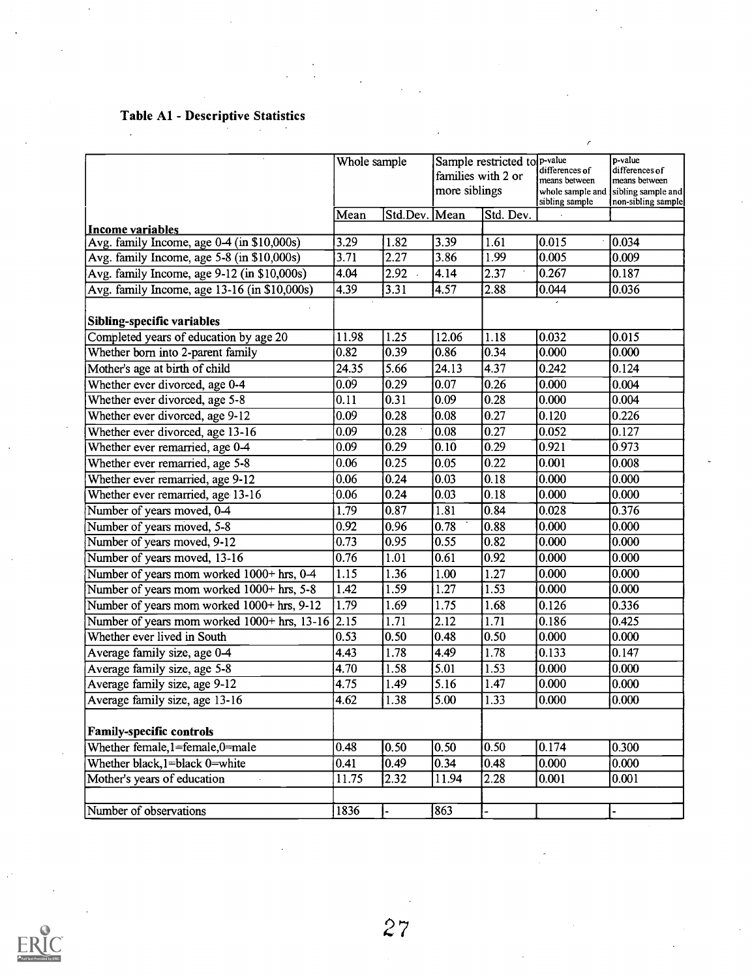## Table Al - Descriptive Statistics

 $\bar{a}$ 

|                                                                | Whole sample      |          | Sample restricted to $P$ -value<br>families with 2 or<br>more siblings |           | differences of<br>means between<br>whole sample and<br>sibling sample | p-value<br>differences of<br>means between<br>sibling sample and<br>non-sibling sample |
|----------------------------------------------------------------|-------------------|----------|------------------------------------------------------------------------|-----------|-----------------------------------------------------------------------|----------------------------------------------------------------------------------------|
|                                                                | Mean              | Std.Dev. | Mean                                                                   | Std. Dev. |                                                                       |                                                                                        |
| Income variables<br>Avg. family Income, age 0-4 (in \$10,000s) | 3.29              | 1.82     | 3.39                                                                   | 1.61      | 0.015                                                                 | 0.034                                                                                  |
| Avg. family Income, age 5-8 (in \$10,000s)                     | 3.71              | 2.27     | 3.86                                                                   | 1.99      | 0.005                                                                 | 0.009                                                                                  |
| Avg. family Income, age 9-12 (in \$10,000s)                    | 4.04              | 2.92     | 4.14                                                                   | 2.37      | 0.267                                                                 | 0.187                                                                                  |
| Avg. family Income, age 13-16 (in \$10,000s)                   | 4.39              | 3.31     | 4.57                                                                   | 2.88      | 0.044                                                                 | 0.036                                                                                  |
|                                                                |                   |          |                                                                        |           |                                                                       |                                                                                        |
| Sibling-specific variables                                     |                   |          |                                                                        |           |                                                                       |                                                                                        |
| Completed years of education by age 20                         | 11.98             | 1.25     | 12.06                                                                  | 1.18      | 0.032                                                                 | 0.015                                                                                  |
| Whether born into 2-parent family                              | 0.82              | 0.39     | 0.86                                                                   | 0.34      | 0.000                                                                 | 0.000                                                                                  |
| Mother's age at birth of child                                 | 24.35             | 5.66     | 24.13                                                                  | 4.37      | 0.242                                                                 | 0.124                                                                                  |
| Whether ever divorced, age 0-4                                 | 0.09              | 0.29     | 0.07                                                                   | 0.26      | 0.000                                                                 | 0.004                                                                                  |
| Whether ever divorced, age 5-8                                 | 0.11              | 0.31     | 0.09                                                                   | 0.28      | 0.000                                                                 | 0.004                                                                                  |
| Whether ever divorced, age 9-12                                | 0.09              | 0.28     | 0.08                                                                   | 0.27      | 0.120                                                                 | 0.226                                                                                  |
| Whether ever divorced, age 13-16                               | 0.09              | 0.28     | 0.08                                                                   | 0.27      | 0.052                                                                 | 0.127                                                                                  |
| Whether ever remarried, age 0-4                                | $ 0.09\rangle$    | 0.29     | 0.10                                                                   | 0.29      | 0.921                                                                 | 0.973                                                                                  |
| Whether ever remarried, age 5-8                                | 0.06              | 0.25     | 0.05                                                                   | 0.22      | 0.001                                                                 | 0.008                                                                                  |
| Whether ever remarried, age 9-12                               | 0.06              | 0.24     | 0.03                                                                   | 0.18      | 0.000                                                                 | 0.000                                                                                  |
| Whether ever remarried, age 13-16                              | 0.06              | 0.24     | 0.03                                                                   | 0.18      | 0.000                                                                 | 0.000                                                                                  |
| Number of years moved, 0-4                                     | 1.79              | 0.87     | 1.81                                                                   | 0.84      | 0.028                                                                 | 0.376                                                                                  |
| Number of years moved, 5-8                                     | 0.92              | 0.96     | 0.78                                                                   | 0.88      | 0.000                                                                 | 0.000                                                                                  |
| Number of years moved, 9-12                                    | 0.73              | 0.95     | 0.55                                                                   | 0.82      | 0.000                                                                 | 0.000                                                                                  |
| Number of years moved, 13-16                                   | $\overline{0.76}$ | 1.01     | 0.61                                                                   | 0.92      | 0.000                                                                 | 0.000                                                                                  |
| Number of years mom worked 1000+ hrs, 0-4                      | 1.15              | 1.36     | 1.00                                                                   | 1.27      | 0.000                                                                 | 0.000                                                                                  |
| Number of years mom worked 1000+ hrs, 5-8                      | 1.42              | 1.59     | 1.27                                                                   | 1.53      | 0.000                                                                 | 0.000                                                                                  |
| Number of years mom worked 1000+ hrs, 9-12                     | 1.79              | 1.69     | 1.75                                                                   | 1.68      | 0.126                                                                 | 0.336                                                                                  |
| Number of years mom worked 1000+ hrs, 13-16 2.15               |                   | 1.71     | 2.12                                                                   | 1.71      | 0.186                                                                 | 0.425                                                                                  |
| Whether ever lived in South                                    | 0.53              | 0.50     | 0.48                                                                   | 0.50      | 0.000                                                                 | 0.000                                                                                  |
| Average family size, age 0-4                                   | 4.43              | 1.78     | 4.49                                                                   | 1.78      | 0.133                                                                 | 0.147                                                                                  |
| Average family size, age 5-8                                   | 4.70              | 1.58     | 5.01                                                                   | 1.53      | 0.000                                                                 | 0.000                                                                                  |
| Average family size, age 9-12                                  | 4.75              | 1.49     | 5.16                                                                   | 1.47      | $\overline{0.000}$                                                    | 0.000                                                                                  |
| Average family size, age 13-16                                 | 4.62              | 1.38     | $\overline{5.00}$                                                      | 1.33      | 0.000                                                                 | 0.000                                                                                  |
| <b>Family-specific controls</b>                                |                   |          |                                                                        |           |                                                                       |                                                                                        |
| Whether female, 1=female, 0=male                               | 0.48              | 0.50     | 0.50                                                                   | 0.50      | 0.174                                                                 | 0.300                                                                                  |
| Whether black, l=black 0=white                                 | 0.41              | 0.49     | 0.34                                                                   | 0.48      | 0.000                                                                 | 0.000                                                                                  |
| Mother's years of education                                    | 11.75             | 2.32     | 11.94                                                                  | 2.28      | 0.001                                                                 | 0.001                                                                                  |
|                                                                |                   |          |                                                                        |           |                                                                       |                                                                                        |
| Number of observations                                         | 1836              |          | 863                                                                    | ä,        |                                                                       |                                                                                        |

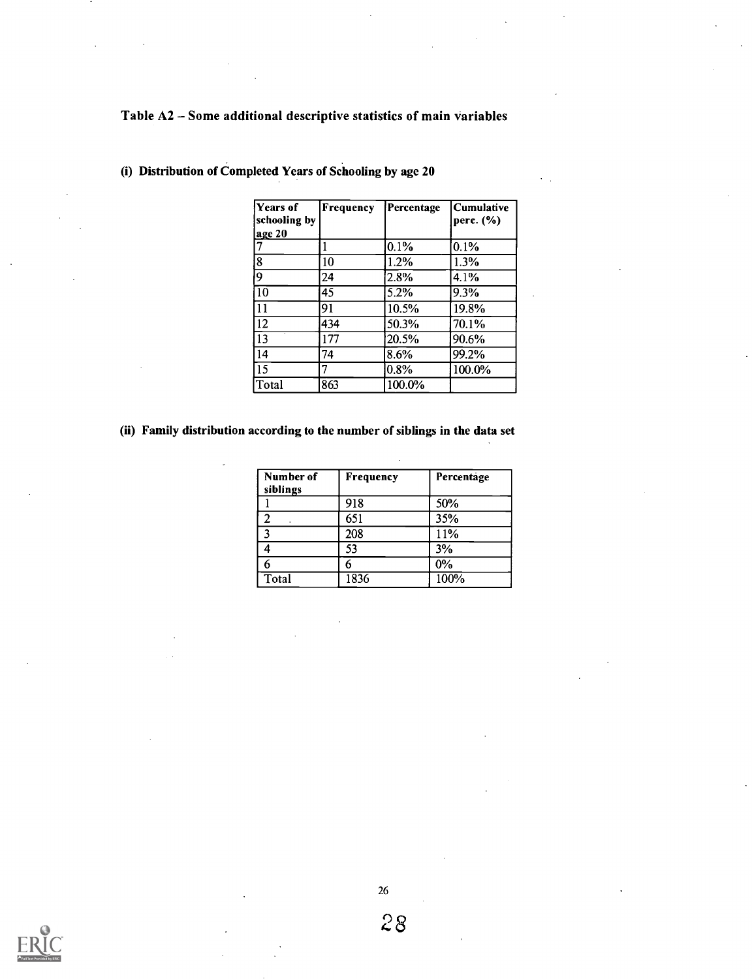## Table A2 - Some additional descriptive statistics of main variables

| Years of<br>schooling by<br>age 20 | Frequency | Percentage | <b>Cumulative</b><br>perc. $(\% )$ |
|------------------------------------|-----------|------------|------------------------------------|
| 7                                  |           | 0.1%       | 0.1%                               |
| ৱি                                 | 10        | 1.2%       | 1.3%                               |
| ld.                                | 24        | 2.8%       | 4.1%                               |
| $\overline{10}$                    | 45        | 5.2%       | 9.3%                               |
| 11                                 | 91        | 10.5%      | 19.8%                              |
| 12                                 | 434       | 50.3%      | 70.1%                              |
| $\overline{13}$                    | 177       | 20.5%      | 90.6%                              |
| 14                                 | 74        | 8.6%       | 99.2%                              |
| $\sqrt{15}$                        |           | 0.8%       | 100.0%                             |
| Total                              | 863       | 100.0%     |                                    |

(i) Distribution of Completed Years of Schooling by age 20

### (ii) Family distribution according to the number of siblings in the data set

| Number of<br>siblings | Frequency | Percentage |
|-----------------------|-----------|------------|
|                       | 918       | 50%        |
| l 2                   | 651       | 35%        |
| l 2                   | 208       | 11%        |
|                       | 53        | 3%         |
|                       |           | $0\%$      |
| Total                 | 1836      | 100%       |



26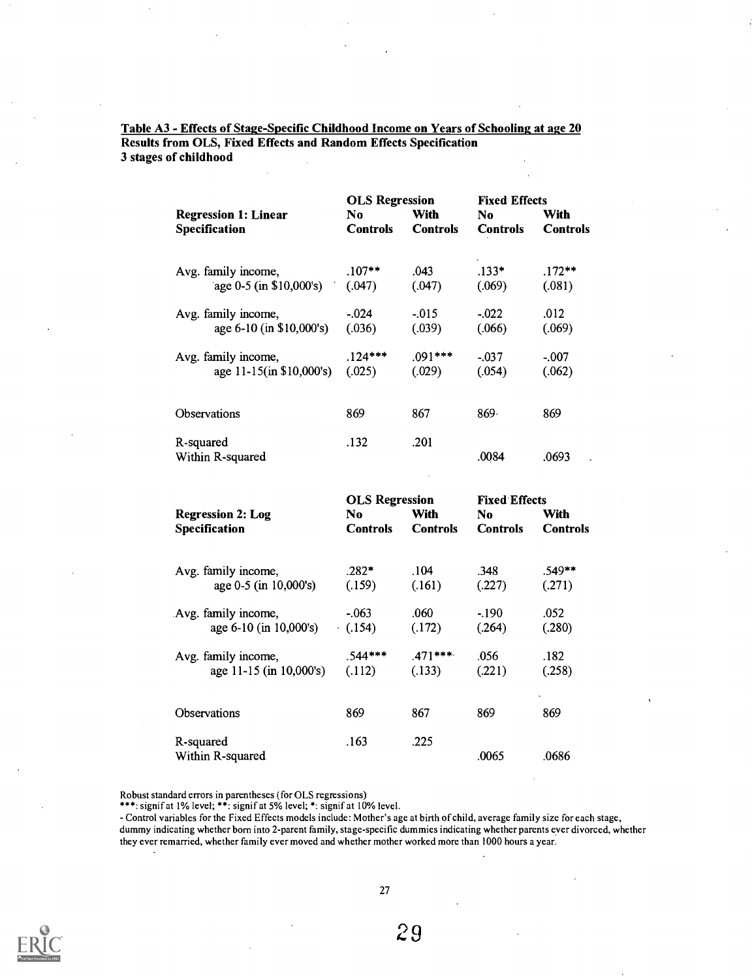| <b>Regression 1: Linear</b><br><b>Specification</b> | <b>OLS Regression</b><br>No<br><b>Controls</b> | With<br><b>Controls</b> | <b>Fixed Effects</b><br>No.<br><b>Controls</b> | With<br><b>Controls</b> |
|-----------------------------------------------------|------------------------------------------------|-------------------------|------------------------------------------------|-------------------------|
| Avg. family income,                                 | $.107**$                                       | .043                    | $.133*$                                        | $.172**$                |
| age $0-5$ (in \$10,000's)                           | (.047)                                         | (.047)                  | (.069)                                         | (.081)                  |
| Avg. family income,                                 | $-.024$                                        | $-.015$                 | $-0.022$                                       | .012                    |
| age 6-10 (in \$10,000's)                            | (.036)                                         | (.039)                  | (.066)                                         | (.069)                  |
| Avg. family income,                                 | $.124***$                                      | $.091***$               | $-.037$                                        | $-.007$                 |
| age 11-15(in \$10,000's)                            | (.025)                                         | (.029)                  | (.054)                                         | (.062)                  |
| <b>Observations</b>                                 | 869                                            | 867                     | 869.                                           | 869                     |
| R-squared<br>Within R-squared                       | .132                                           | .201                    | .0084                                          | .0693<br>$\sim$         |

Table A3 - Effects of Stage-Specific Childhood Income on Years of Schooling at age 20 Results from OLS, Fixed Effects and Random Effects Specification 3 stages of childhood

|                          | <b>OLS Regression</b> |                 | <b>Fixed Effects</b> |                 |  |
|--------------------------|-----------------------|-----------------|----------------------|-----------------|--|
| <b>Regression 2: Log</b> | No                    | With            | No.                  | With            |  |
| Specification            | <b>Controls</b>       | <b>Controls</b> | <b>Controls</b>      | <b>Controls</b> |  |
| Avg. family income,      | $.282*$               | .104            | .348                 | .549**          |  |
| age 0-5 (in 10,000's)    | (.159)                | (.161)          | (.227)               | (.271)          |  |
| Avg. family income,      | $-.063$               | .060            | $-190$               | .052            |  |
| age 6-10 (in 10,000's)   | (0.154)               | (.172)          | (.264)               | (.280)          |  |
| Avg. family income,      | $.544***$             | $.471***$       | .056                 | .182            |  |
| age 11-15 (in 10,000's)  | (.112)                | (.133)          | (.221)               | (.258)          |  |
|                          |                       |                 |                      |                 |  |
| Observations             | 869                   | 867             | 869                  | 869             |  |
| R-squared                | .163                  | .225            |                      |                 |  |
| Within R-squared         |                       |                 | .0065                | .0686           |  |

Robust standard errors in parentheses (for OLS regressions)

\*\*\*: signif at 1% level; \*\*: signif at 5% level; \*: signif at 10% level.

Control variables for the Fixed Effects models include: Mother's age at birth of child, average family size for each stage, dummy indicating whether born into 2-parent family, stage-specific dummies indicating whether parents ever divorced, whether they ever remarried, whether family ever moved and whether mother worked more than 1000 hours a year.



27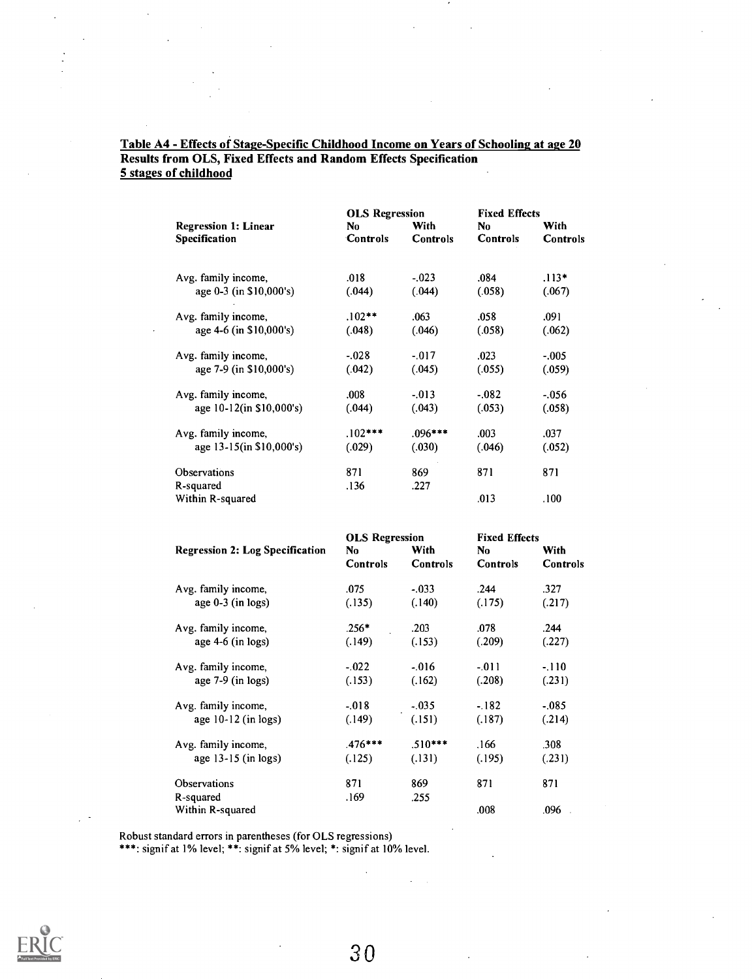#### Table A4 - Effects of Stage-Specific Childhood Income on Years of Schooling at age 20 Results from OLS, Fixed Effects and Random Effects Specification 5 stages of childhood

|                             | <b>OLS Regression</b> |           | <b>Fixed Effects</b> |          |
|-----------------------------|-----------------------|-----------|----------------------|----------|
| <b>Regression 1: Linear</b> | No                    | With      | No                   | With     |
| Specification               | <b>Controls</b>       | Controls  | <b>Controls</b>      | Controls |
|                             |                       |           |                      |          |
| Avg. family income,         | .018                  | $-.023$   | .084                 | $.113*$  |
| age 0-3 (in \$10,000's)     | (.044)                | (.044)    | (.058)               | (.067)   |
| Avg. family income,         | $.102**$              | .063      | .058                 | .091     |
| age 4-6 (in \$10,000's)     | (.048)                | (.046)    | (.058)               | (.062)   |
| Avg. family income,         | $-.028$               | $-.017$   | .023                 | $-.005$  |
| age 7-9 (in \$10,000's)     | (.042)                | (.045)    | (.055)               | (.059)   |
| Avg. family income,         | .008                  | $-0.013$  | $-082$               | $-.056$  |
| age 10-12(in \$10,000's)    | (.044)                | (.043)    | (.053)               | (.058)   |
| Avg. family income,         | $.102***$             | $.096***$ | .003                 | .037     |
| age 13-15(in \$10,000's)    | (.029)                | (.030)    | (.046)               | (.052)   |
| Observations                | 871                   | 869       | 871                  | 871      |
| R-squared                   | .136                  | .227      |                      |          |
| Within R-squared            |                       |           | .013                 | .100     |

|                                        | <b>OLS Regression</b> |           | <b>Fixed Effects</b> |          |
|----------------------------------------|-----------------------|-----------|----------------------|----------|
| <b>Regression 2: Log Specification</b> | No                    | With      | No                   | With     |
|                                        | <b>Controls</b>       | Controls  | Controls             | Controls |
| Avg. family income,                    | .075                  | $-.033$   | .244                 | .327     |
| age $0-3$ (in logs)                    | (.135)                | (.140)    | (.175)               | (.217)   |
| Avg. family income,                    | $.256*$               | .203      | .078                 | .244     |
| age $4-6$ (in logs)                    | (.149)                | (.153)    | (.209)               | (.227)   |
| Avg. family income,                    | $-.022$               | $-.016$   | $-011$               | $-.110$  |
| age $7-9$ (in logs)                    | (.153)                | (.162)    | (.208)               | (.231)   |
| Avg. family income,                    | $-.018$               | $-.035$   | $-182$               | $-.085$  |
| age $10-12$ (in logs)                  | (.149)                | (.151)    | (.187)               | (.214)   |
| Avg. family income,                    | $.476***$             | $.510***$ | .166                 | .308     |
| age $13-15$ (in logs)                  | (.125)                | (.131)    | (.195)               | (.231)   |
| Observations                           | 871                   | 869       | 871                  | 871      |
| R-squared                              | .169                  | .255      |                      |          |
| Within R-squared                       |                       |           | .008                 | .096     |

Robust standard errors in parentheses (for OLS regressions)

\*\*\*: signif at 1% level; \*\*: signif at 5% level; \*: signif at 10% level.

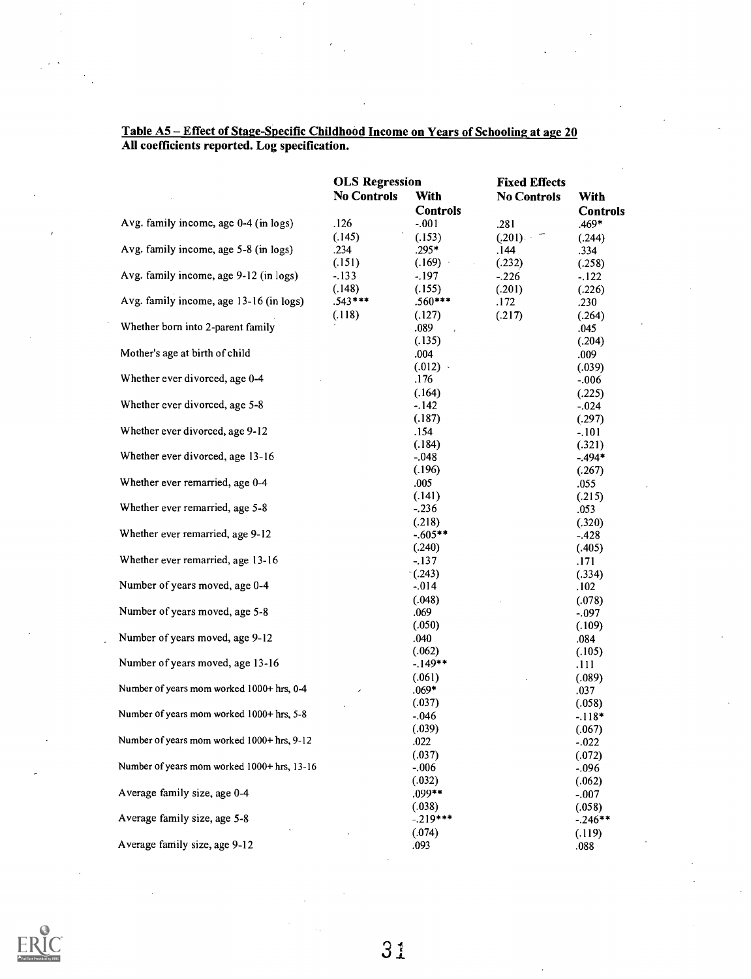|                                             | <b>OLS</b> Regression |                 | <b>Fixed Effects</b> |                 |  |
|---------------------------------------------|-----------------------|-----------------|----------------------|-----------------|--|
|                                             | <b>No Controls</b>    | With            | <b>No Controls</b>   | <b>With</b>     |  |
|                                             |                       | <b>Controls</b> |                      | <b>Controls</b> |  |
| Avg. family income, age 0-4 (in logs)       | .126                  | $-.001$         | .281                 | $.469*$         |  |
|                                             | (.145)                | (.153)          | (.201)<br>Ξ          | (.244)          |  |
| Avg. family income, age 5-8 (in logs)       | .234                  | $.295*$         | .144                 | .334            |  |
|                                             | (.151)                | (.169)          | (.232)               | (.258)          |  |
| Avg. family income, age 9-12 (in logs)      | $-.133$               | $-.197$         | $-.226$              | $-122$          |  |
|                                             | (.148)                | (.155)          | (.201)               | (.226)          |  |
| Avg. family income, age 13-16 (in logs)     | $.543***$             | $.560***$       | .172                 | .230            |  |
|                                             | (.118)                | (.127)          | (.217)               | (.264)          |  |
| Whether born into 2-parent family           |                       | .089            |                      | .045            |  |
|                                             |                       | (.135)          |                      | (.204)          |  |
| Mother's age at birth of child              |                       | .004            |                      | .009            |  |
|                                             |                       | $(.012)$ .      |                      | (.039)          |  |
| Whether ever divorced, age 0-4              |                       | .176            |                      | $-.006$         |  |
|                                             |                       | (.164)          |                      | (.225)          |  |
| Whether ever divorced, age 5-8              |                       | $-.142$         |                      | $-0.024$        |  |
|                                             |                       | (.187)          |                      | (.297)          |  |
| Whether ever divorced, age 9-12             |                       | .154            |                      | $-.101$         |  |
|                                             |                       | (.184)          |                      | (.321)          |  |
| Whether ever divorced, age 13-16            |                       | $-.048$         |                      | $-.494*$        |  |
|                                             |                       | (.196)          |                      | (.267)          |  |
| Whether ever remarried, age 0-4             |                       | .005            |                      | .055            |  |
|                                             |                       | (.141)          |                      | (.215)          |  |
| Whether ever remarried, age 5-8             |                       | $-.236$         |                      | .053            |  |
|                                             |                       | (.218)          |                      | (.320)          |  |
| Whether ever remarried, age 9-12            |                       | $-605**$        |                      | $-428$          |  |
|                                             |                       | (.240)          |                      | (.405)          |  |
| Whether ever remarried, age 13-16           |                       | $-.137$         |                      | .171            |  |
|                                             |                       | (0.243)         |                      | (.334)          |  |
| Number of years moved, age 0-4              |                       | $-0.014$        |                      | .102            |  |
|                                             |                       | (.048)          |                      | (.078)          |  |
| Number of years moved, age 5-8              |                       | .069            |                      | $-.097$         |  |
|                                             |                       | (.050)          |                      | (.109)          |  |
| Number of years moved, age 9-12             |                       | .040            |                      | .084            |  |
|                                             |                       | (.062)          |                      | (.105)          |  |
| Number of years moved, age 13-16            |                       | $-149**$        |                      | .111            |  |
|                                             |                       | (.061)          |                      | (.089)          |  |
| Number of years mom worked 1000+ hrs, 0-4   |                       | $.069*$         |                      | .037            |  |
|                                             |                       | (.037)          |                      | (.058)          |  |
| Number of years mom worked 1000+ hrs. 5-8   |                       | $-.046$         |                      | $-.118*$        |  |
|                                             |                       | (.039)          |                      | (.067)          |  |
| Number of years mom worked 1000+ hrs, 9-12  |                       | .022            |                      | $-.022$         |  |
|                                             |                       | (.037)          |                      | (.072)          |  |
| Number of years mom worked 1000+ hrs, 13-16 |                       | $-.006$         |                      | $-.096$         |  |
|                                             |                       | (.032)          |                      | (.062)          |  |
| Average family size, age 0-4                |                       | .099**          |                      | $-.007$         |  |
|                                             |                       | (.038)          |                      | (.058)          |  |
| Average family size, age 5-8                |                       | $-.219***$      |                      | $-.246**$       |  |
|                                             |                       | (.074)          |                      | (.119)          |  |
| Average family size, age 9-12               |                       | .093            |                      | .088            |  |

#### Table A5 - Effect of Stage-Specific Childhood Income on Years of Schooling at age 20 All coefficients reported. Log specification.

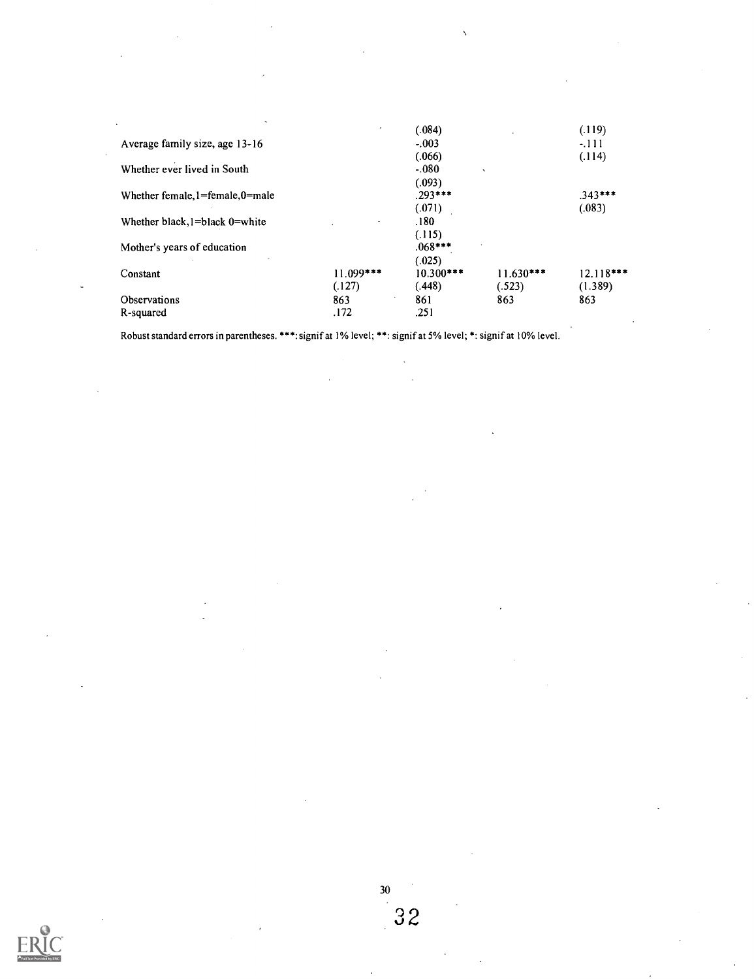|                                        | ٠                        | (.084)            |             | (.119)      |  |
|----------------------------------------|--------------------------|-------------------|-------------|-------------|--|
| Average family size, age 13-16         |                          | $-.003$           |             | $-111$      |  |
|                                        |                          | (.066)            |             | (.114)      |  |
| Whether ever lived in South            |                          | $-080$<br>$\cdot$ |             |             |  |
|                                        |                          | (.093)            |             |             |  |
| Whether female, $l = female, 0 = male$ |                          | $.293***$         |             | $.343***$   |  |
|                                        |                          | (.071)            |             | (.083)      |  |
| Whether black, $l = black$ 0 = white   | $\overline{\phantom{a}}$ | .180              |             |             |  |
|                                        |                          | (.115)            |             |             |  |
| Mother's years of education            |                          | $.068***$         |             |             |  |
|                                        |                          | (.025)            |             |             |  |
| Constant                               | $11.099***$              | $10.300***$       | $11.630***$ | $12.118***$ |  |
|                                        | (.127)                   | (.448)            | (.523)      | (1.389)     |  |
| Observations                           | ٠<br>863                 | 861               | 863         | 863         |  |
| R-squared                              | .172                     | .251              |             |             |  |
|                                        |                          |                   |             |             |  |

Robust standard errors in parentheses. \*\*\*: signif at 1% level; \*\*: signif at 5% level; \*: signif at 10% level.



32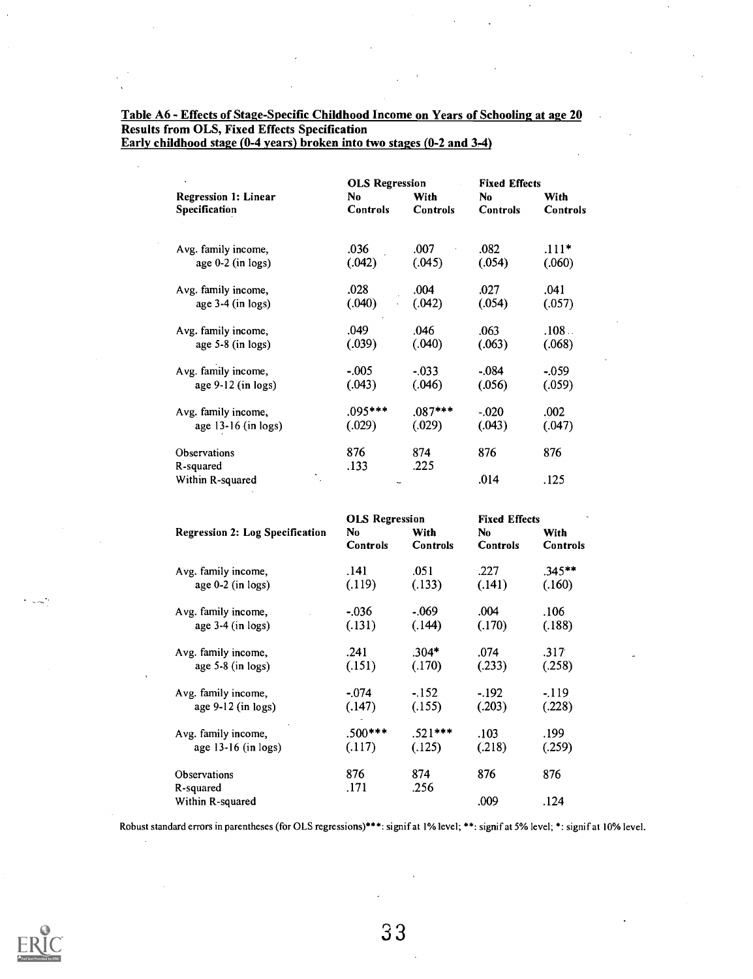## Table A6 - Effects of Stage-Specific Childhood Income on Years of Schooling at age 20 Results from OLS, Fixed Effects Specification

|                 | <b>OLS Regression</b>                  |                                              |                                                                                            |
|-----------------|----------------------------------------|----------------------------------------------|--------------------------------------------------------------------------------------------|
| No.             | <b>With</b>                            | No                                           | With                                                                                       |
| <b>Controls</b> | Controls                               | <b>Controls</b>                              | Controls                                                                                   |
|                 |                                        |                                              |                                                                                            |
|                 | .007                                   | .082                                         | $.111*$                                                                                    |
| (.042)          | (.045)                                 | (.054)                                       | (.060)                                                                                     |
|                 |                                        |                                              | .041                                                                                       |
| (.040)          | (.042)                                 | (.054)                                       | (.057)                                                                                     |
|                 |                                        |                                              | .108                                                                                       |
| (.039)          | (.040)                                 | (.063)                                       | (.068)                                                                                     |
| $-.005$         | $-0.033$                               |                                              | $-.059$                                                                                    |
| (.043)          | (.046)                                 | (.056)                                       | (.059)                                                                                     |
|                 |                                        |                                              | .002                                                                                       |
| (.029)          | (.029)                                 | (.043)                                       | (.047)                                                                                     |
|                 | 874                                    |                                              | 876                                                                                        |
| .133            | .225                                   |                                              |                                                                                            |
|                 |                                        | .014                                         | .125                                                                                       |
|                 |                                        |                                              |                                                                                            |
|                 | .036<br>.028<br>.049<br>.095***<br>876 | .004<br>.046<br>$0.087***$<br>OLS Regression | <b>Fixed Effects</b><br>.027<br>.063<br>$-.084$<br>$-0.020$<br>876<br><b>Fixed Effects</b> |

Early childhood stage (0-4 years) broken into two stages (0-2 and 3-4)

|                                        | <b>OLS Regression</b> |                         | <b>Fixed Effects</b>   |                         |
|----------------------------------------|-----------------------|-------------------------|------------------------|-------------------------|
| <b>Regression 2: Log Specification</b> | No<br><b>Controls</b> | With<br><b>Controls</b> | No.<br><b>Controls</b> | With<br><b>Controls</b> |
| Avg. family income,                    | .141                  | .051                    | .227                   | $.345**$                |
| age $0-2$ (in logs)                    | (.119)                | (.133)                  | (.141)                 | (.160)                  |
| Avg. family income,                    | $-.036$               | $-069$                  | .004                   | .106                    |
| age $3-4$ (in logs)                    | (.131)                | (.144)                  | (.170)                 | (.188)                  |
| Avg. family income,                    | .241                  | $.304*$                 | .074                   | .317                    |
| age $5-8$ (in logs)                    | (.151)                | (.170)                  | (.233)                 | (.258)                  |
| Avg. family income,                    | $-074$                | $-152$                  | $-.192$                | $-.119$                 |
| age $9-12$ (in logs)                   | (.147)                | (.155)                  | (.203)                 | (.228)                  |
| Avg. family income,                    | $.500***$             | $.521***$               | .103                   | .199                    |
| age 13-16 (in logs)                    | (.117)                | (.125)                  | (.218)                 | (.259)                  |
| Observations                           | 876                   | 874                     | 876                    | 876                     |
| R-squared                              | .171                  | .256                    |                        |                         |
| Within R-squared                       |                       |                         | .009                   | .124                    |

Robust standard errors in parentheses (for OLS regressions)\*\*\*: signif at 1% level; \*\*: signif at 5% level; \*: signif at 10% level.



 $\sim$   $\sim$   $\frac{1}{2}$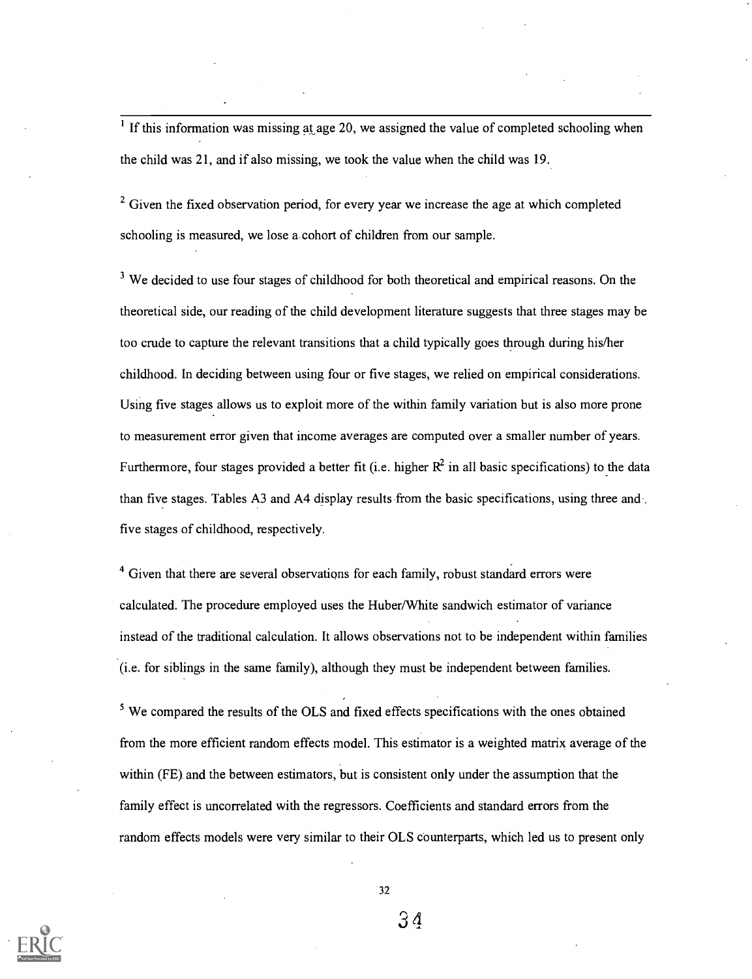$<sup>1</sup>$  If this information was missing at age 20, we assigned the value of completed schooling when</sup> the child was 21, and if also missing, we took the value when the child was 19.

 $2\sigma^2$  Given the fixed observation period, for every year we increase the age at which completed schooling is measured, we lose a. cohort of children from our sample.

 $3$  We decided to use four stages of childhood for both theoretical and empirical reasons. On the theoretical side, our reading of the child development literature suggests that three stages may be too crude to capture the relevant transitions that a child typically goes through during his/her childhood. In deciding between using four or five stages, we relied on empirical considerations. Using five stages allows us to exploit more of the within family variation but is also more prone to measurement error given that income averages are computed over a smaller number of years. Furthermore, four stages provided a better fit (i.e. higher  $R^2$  in all basic specifications) to the data than five stages. Tables A3 and A4 display results from the basic specifications, using three and five stages of childhood, respectively.

 $4$  Given that there are several observations for each family, robust standard errors were calculated. The procedure employed uses the Huber/White sandwich estimator of variance instead of the traditional calculation. It allows observations not to be independent within families (i.e. for siblings in the same family), although they must be independent between families.

<sup>5</sup> We compared the results of the OLS and fixed effects specifications with the ones obtained from the more efficient random effects model. This estimator is a weighted matrix average of the within (FE) and the between estimators, but is consistent only under the assumption that the family effect is uncorrelated with the regressors. Coefficients and standard errors from the random effects models were very similar to their OLS counterparts, which led us to present only



32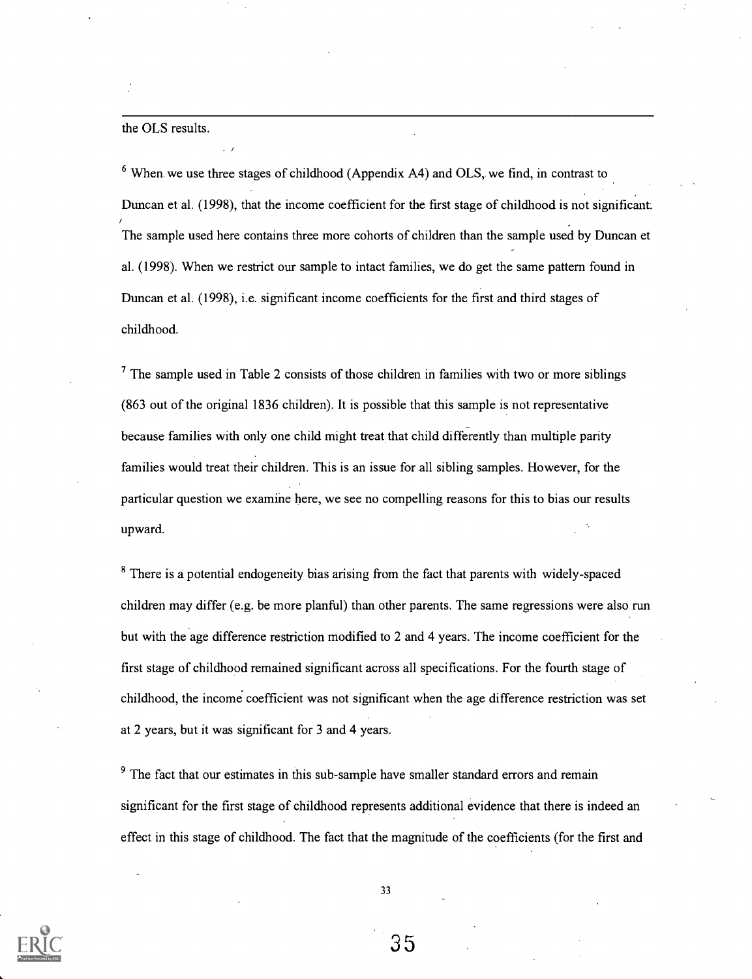#### the OLS results.

 $6$  When we use three stages of childhood (Appendix A4) and OLS, we find, in contrast to Duncan et al. (1998), that the income coefficient for the first stage of childhood is not significant. The sample used here contains three more cohorts of children than the sample used by Duncan et al. (1998). When we restrict our sample to intact families, we do get the same pattern found in Duncan et al. (1998), i.e. significant income coefficients for the first and third stages of childhood.

 $<sup>7</sup>$  The sample used in Table 2 consists of those children in families with two or more siblings</sup> (863 out of the original 1836 children). It is possible that this sample is not representative because families with only one child might treat that child differently than multiple parity families would treat their children. This is an issue for all sibling samples. However, for the particular question we examine here, we see no compelling reasons for this to bias our results upward.

<sup>8</sup> There is a potential endogeneity bias arising from the fact that parents with widely-spaced children may differ (e.g. be more planful) than other parents. The same regressions were also run but with the age difference restriction modified to 2 and 4 years. The income coefficient for the first stage of childhood remained significant across all specifications. For the fourth stage of childhood, the income coefficient was not significant when the age difference restriction was set at 2 years, but it was significant for 3 and 4 years.

 $9<sup>9</sup>$  The fact that our estimates in this sub-sample have smaller standard errors and remain significant for the first stage of childhood represents additional evidence that there is indeed an effect in this stage of childhood. The fact that the magnitude of the coefficients (for the first and

33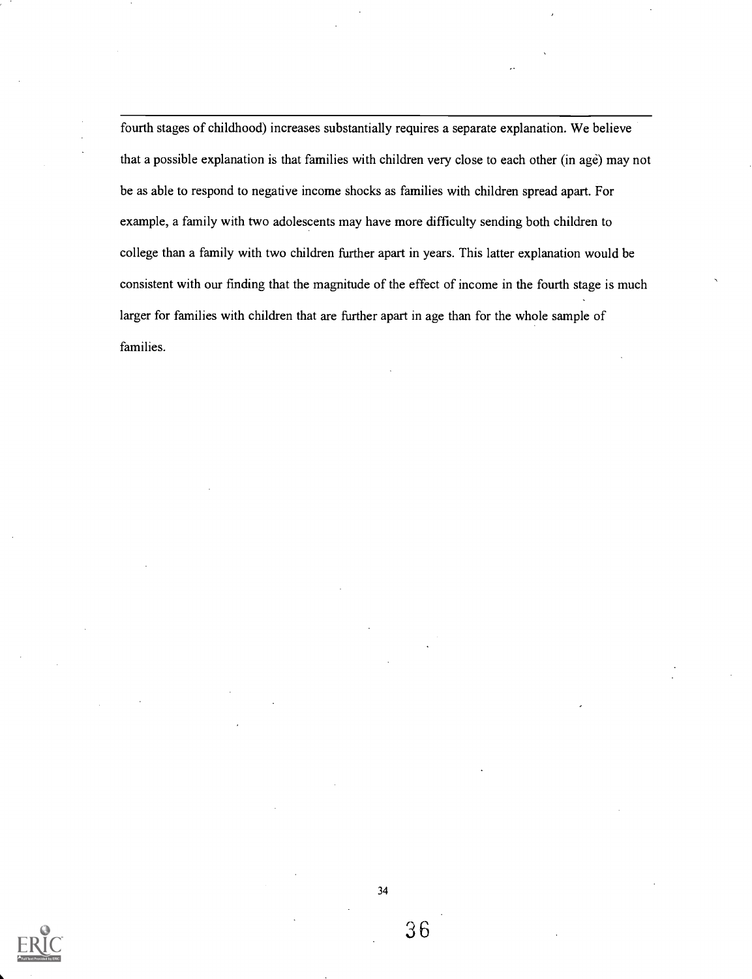fourth stages of childhood) increases substantially requires a separate explanation. We believe that a possible explanation is that families with children very close to each other (in age) may not be as able to respond to negative income shocks as families with children spread apart. For example, a family with two adolescents may have more difficulty sending both children to college than a family with two children further apart in years. This latter explanation would be consistent with our finding that the magnitude of the effect of income in the fourth stage is much larger for families with children that are further apart in age than for the whole sample of families.